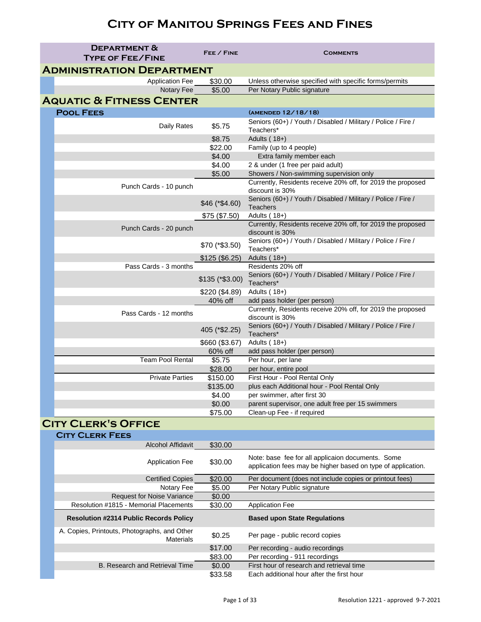|                                     | <b>DEPARTMENT &amp;</b><br><b>TYPE OF FEE/FINE</b> | FEE / FINE       | <b>COMMENTS</b>                                                                  |
|-------------------------------------|----------------------------------------------------|------------------|----------------------------------------------------------------------------------|
|                                     | <b>ADMINISTRATION DEPARTMENT</b>                   |                  |                                                                                  |
|                                     | <b>Application Fee</b>                             | \$30.00          | Unless otherwise specified with specific forms/permits                           |
|                                     | Notary Fee                                         | \$5.00           | Per Notary Public signature                                                      |
| <b>AQUATIC &amp; FITNESS CENTER</b> |                                                    |                  |                                                                                  |
|                                     | <b>POOL FEES</b>                                   |                  | (AMENDED 12/18/18)                                                               |
|                                     | <b>Daily Rates</b>                                 | \$5.75           | Seniors (60+) / Youth / Disabled / Military / Police / Fire /<br>Teachers*       |
|                                     |                                                    | \$8.75           | Adults $(18+)$                                                                   |
|                                     |                                                    | \$22.00          | Family (up to 4 people)                                                          |
|                                     |                                                    | \$4.00           | Extra family member each                                                         |
|                                     |                                                    | \$4.00           | 2 & under (1 free per paid adult)                                                |
|                                     |                                                    | \$5.00           | Showers / Non-swimming supervision only                                          |
|                                     | Punch Cards - 10 punch                             |                  | Currently, Residents receive 20% off, for 2019 the proposed<br>discount is 30%   |
|                                     |                                                    | $$46 (* $4.60)$  | Seniors (60+) / Youth / Disabled / Military / Police / Fire /<br><b>Teachers</b> |
|                                     |                                                    | \$75 (\$7.50)    | Adults $(18+)$                                                                   |
|                                     | Punch Cards - 20 punch                             |                  | Currently, Residents receive 20% off, for 2019 the proposed<br>discount is 30%   |
|                                     |                                                    | $$70 (* $3.50)$  | Seniors (60+) / Youth / Disabled / Military / Police / Fire /<br>Teachers*       |
|                                     |                                                    | \$125 (\$6.25)   | Adults $(18+)$                                                                   |
|                                     | Pass Cards - 3 months                              |                  | Residents 20% off                                                                |
|                                     |                                                    | $$135$ (*\$3.00) | Seniors (60+) / Youth / Disabled / Military / Police / Fire /<br>Teachers*       |
|                                     |                                                    | \$220 (\$4.89)   | Adults (18+)                                                                     |
|                                     |                                                    | 40% off          | add pass holder (per person)                                                     |
|                                     | Pass Cards - 12 months                             |                  | Currently, Residents receive 20% off, for 2019 the proposed<br>discount is 30%   |
|                                     |                                                    | 405 (*\$2.25)    | Seniors (60+) / Youth / Disabled / Military / Police / Fire /<br>Teachers*       |
|                                     |                                                    | \$660 (\$3.67)   | Adults $(18+)$                                                                   |
|                                     |                                                    | 60% off          | add pass holder (per person)                                                     |
|                                     | <b>Team Pool Rental</b>                            | \$5.75           | Per hour, per lane                                                               |
|                                     |                                                    | \$28.00          | per hour, entire pool                                                            |
|                                     | <b>Private Parties</b>                             | \$150.00         | First Hour - Pool Rental Only                                                    |
|                                     |                                                    | \$135.00         | plus each Additional hour - Pool Rental Only                                     |
|                                     |                                                    | \$4.00           | per swimmer, after first 30                                                      |
|                                     |                                                    | \$0.00           | parent supervisor, one adult free per 15 swimmers                                |
|                                     |                                                    | \$75.00          | Clean-up Fee - if required                                                       |

#### **City Clerk's Office**

| <b>CITY CLERK FEES</b>                                           |         |                                                                                                                   |
|------------------------------------------------------------------|---------|-------------------------------------------------------------------------------------------------------------------|
| <b>Alcohol Affidavit</b>                                         | \$30.00 |                                                                                                                   |
| <b>Application Fee</b>                                           | \$30.00 | Note: base fee for all applicaion documents. Some<br>application fees may be higher based on type of application. |
| <b>Certified Copies</b>                                          | \$20.00 | Per document (does not include copies or printout fees)                                                           |
| Notary Fee                                                       | \$5.00  | Per Notary Public signature                                                                                       |
| <b>Request for Noise Variance</b>                                | \$0.00  |                                                                                                                   |
| Resolution #1815 - Memorial Placements                           | \$30.00 | <b>Application Fee</b>                                                                                            |
| <b>Resolution #2314 Public Records Policy</b>                    |         | <b>Based upon State Regulations</b>                                                                               |
| A. Copies, Printouts, Photographs, and Other<br><b>Materials</b> | \$0.25  | Per page - public record copies                                                                                   |
|                                                                  | \$17.00 | Per recording - audio recordings                                                                                  |
|                                                                  | \$83.00 | Per recording - 911 recordings                                                                                    |
| <b>B. Research and Retrieval Time</b>                            | \$0.00  | First hour of research and retrieval time                                                                         |
|                                                                  | \$33.58 | Each additional hour after the first hour                                                                         |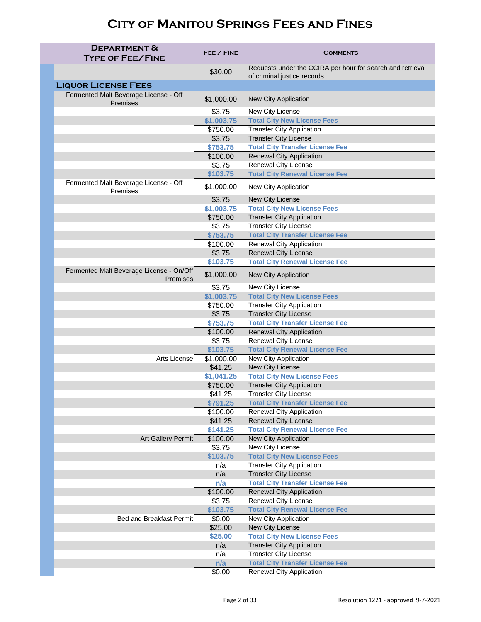| <b>DEPARTMENT &amp;</b><br><b>TYPE OF FEE/FINE</b>          | FEE / FINE             | <b>COMMENTS</b>                                                                           |
|-------------------------------------------------------------|------------------------|-------------------------------------------------------------------------------------------|
|                                                             | \$30.00                | Requests under the CCIRA per hour for search and retrieval<br>of criminal justice records |
| <b>LIQUOR LICENSE FEES</b>                                  |                        |                                                                                           |
| Fermented Malt Beverage License - Off<br>Premises           | \$1,000.00             | <b>New City Application</b>                                                               |
|                                                             | \$3.75                 | New City License                                                                          |
|                                                             | \$1,003.75             | <b>Total City New License Fees</b>                                                        |
|                                                             | \$750.00               | <b>Transfer City Application</b>                                                          |
|                                                             | \$3.75                 | <b>Transfer City License</b>                                                              |
|                                                             | \$753.75               | <b>Total City Transfer License Fee</b>                                                    |
|                                                             | \$100.00               | <b>Renewal City Application</b>                                                           |
|                                                             | \$3.75                 | <b>Renewal City License</b>                                                               |
| Fermented Malt Beverage License - Off                       | \$103.75<br>\$1,000.00 | <b>Total City Renewal License Fee</b><br>New City Application                             |
| Premises                                                    |                        |                                                                                           |
|                                                             | \$3.75<br>\$1,003.75   | <b>New City License</b><br><b>Total City New License Fees</b>                             |
|                                                             | \$750.00               | <b>Transfer City Application</b>                                                          |
|                                                             | \$3.75                 | <b>Transfer City License</b>                                                              |
|                                                             | \$753.75               | <b>Total City Transfer License Fee</b>                                                    |
|                                                             | \$100.00               | <b>Renewal City Application</b>                                                           |
|                                                             | \$3.75                 | <b>Renewal City License</b>                                                               |
|                                                             | \$103.75               | <b>Total City Renewal License Fee</b>                                                     |
| Fermented Malt Beverage License - On/Off<br><b>Premises</b> | \$1,000.00             | <b>New City Application</b>                                                               |
|                                                             | \$3.75                 | New City License                                                                          |
|                                                             | \$1,003.75             | <b>Total City New License Fees</b>                                                        |
|                                                             | \$750.00               | <b>Transfer City Application</b>                                                          |
|                                                             | \$3.75                 | <b>Transfer City License</b>                                                              |
|                                                             | \$753.75               | <b>Total City Transfer License Fee</b>                                                    |
|                                                             | \$100.00               | <b>Renewal City Application</b>                                                           |
|                                                             | \$3.75                 | <b>Renewal City License</b>                                                               |
| <b>Arts License</b>                                         | \$103.75               | <b>Total City Renewal License Fee</b>                                                     |
|                                                             | \$1,000.00<br>\$41.25  | <b>New City Application</b><br>New City License                                           |
|                                                             | \$1,041.25             | <b>Total City New License Fees</b>                                                        |
|                                                             | \$750.00               | <b>Transfer City Application</b>                                                          |
|                                                             | \$41.25                | <b>Transfer City License</b>                                                              |
|                                                             | \$791.25               | <b>Total City Transfer License Fee</b>                                                    |
|                                                             | \$100.00               | <b>Renewal City Application</b>                                                           |
|                                                             | \$41.25                | <b>Renewal City License</b>                                                               |
|                                                             | \$141.25               | <b>Total City Renewal License Fee</b>                                                     |
| <b>Art Gallery Permit</b>                                   | \$100.00               | <b>New City Application</b>                                                               |
|                                                             | \$3.75                 | New City License                                                                          |
|                                                             | \$103.75               | <b>Total City New License Fees</b>                                                        |
|                                                             | n/a                    | <b>Transfer City Application</b>                                                          |
|                                                             | n/a                    | <b>Transfer City License</b>                                                              |
|                                                             | n/a<br>\$100.00        | <b>Total City Transfer License Fee</b>                                                    |
|                                                             | \$3.75                 | <b>Renewal City Application</b><br><b>Renewal City License</b>                            |
|                                                             | \$103.75               | <b>Total City Renewal License Fee</b>                                                     |
| <b>Bed and Breakfast Permit</b>                             | \$0.00                 | <b>New City Application</b>                                                               |
|                                                             | \$25.00                | New City License                                                                          |
|                                                             | \$25.00                | <b>Total City New License Fees</b>                                                        |
|                                                             | n/a                    | <b>Transfer City Application</b>                                                          |
|                                                             | n/a                    | <b>Transfer City License</b>                                                              |
|                                                             | n/a                    | <b>Total City Transfer License Fee</b>                                                    |
|                                                             | \$0.00                 | <b>Renewal City Application</b>                                                           |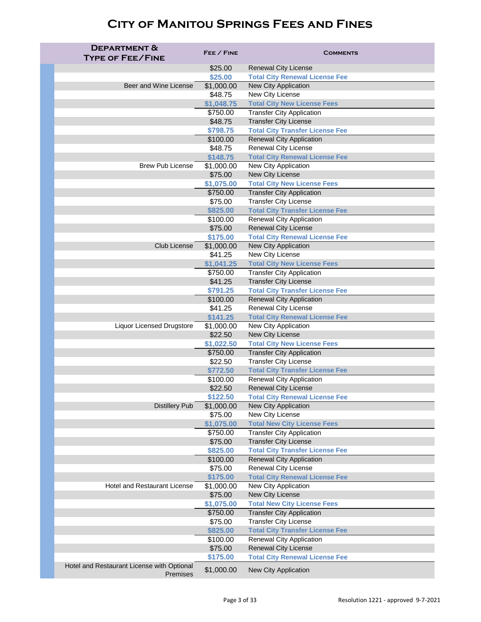| <b>DEPARTMENT &amp;</b>                    | FEE / FINE            | <b>COMMENTS</b>                                                |
|--------------------------------------------|-----------------------|----------------------------------------------------------------|
| <b>TYPE OF FEE/FINE</b>                    |                       |                                                                |
|                                            | \$25.00               | <b>Renewal City License</b>                                    |
|                                            | \$25.00               | <b>Total City Renewal License Fee</b>                          |
| Beer and Wine License                      | \$1,000.00            | <b>New City Application</b>                                    |
|                                            | \$48.75               | New City License                                               |
|                                            | \$1,048.75            | <b>Total City New License Fees</b>                             |
|                                            | \$750.00              | <b>Transfer City Application</b>                               |
|                                            | \$48.75               | <b>Transfer City License</b>                                   |
|                                            | \$798.75              | <b>Total City Transfer License Fee</b>                         |
|                                            | \$100.00<br>\$48.75   | <b>Renewal City Application</b><br><b>Renewal City License</b> |
|                                            | \$148.75              | <b>Total City Renewal License Fee</b>                          |
| <b>Brew Pub License</b>                    | \$1,000.00            | <b>New City Application</b>                                    |
|                                            | \$75.00               | New City License                                               |
|                                            | \$1,075.00            | <b>Total City New License Fees</b>                             |
|                                            | \$750.00              | <b>Transfer City Application</b>                               |
|                                            | \$75.00               | <b>Transfer City License</b>                                   |
|                                            | \$825.00              | <b>Total City Transfer License Fee</b>                         |
|                                            | \$100.00              | <b>Renewal City Application</b>                                |
|                                            | \$75.00               | <b>Renewal City License</b>                                    |
|                                            | \$175.00              | <b>Total City Renewal License Fee</b>                          |
| <b>Club License</b>                        | \$1,000.00            | <b>New City Application</b>                                    |
|                                            | \$41.25               | New City License                                               |
|                                            | \$1,041.25            | <b>Total City New License Fees</b>                             |
|                                            | \$750.00              | <b>Transfer City Application</b>                               |
|                                            | \$41.25               | <b>Transfer City License</b>                                   |
|                                            | \$791.25              | <b>Total City Transfer License Fee</b>                         |
|                                            | \$100.00<br>\$41.25   | <b>Renewal City Application</b><br><b>Renewal City License</b> |
|                                            | \$141.25              | <b>Total City Renewal License Fee</b>                          |
| <b>Liquor Licensed Drugstore</b>           | \$1,000.00            | New City Application                                           |
|                                            | \$22.50               | New City License                                               |
|                                            | \$1,022.50            | <b>Total City New License Fees</b>                             |
|                                            | \$750.00              | <b>Transfer City Application</b>                               |
|                                            | \$22.50               | <b>Transfer City License</b>                                   |
|                                            | \$772.50              | <b>Total City Transfer License Fee</b>                         |
|                                            | \$100.00              | <b>Renewal City Application</b>                                |
|                                            | \$22.50               | <b>Renewal City License</b>                                    |
|                                            | \$122.50              | <b>Total City Renewal License Fee</b>                          |
| <b>Distillery Pub</b>                      | \$1,000.00<br>\$75.00 | <b>New City Application</b><br>New City License                |
|                                            | \$1,075.00            | <b>Total New City License Fees</b>                             |
|                                            | \$750.00              | <b>Transfer City Application</b>                               |
|                                            | \$75.00               | <b>Transfer City License</b>                                   |
|                                            | \$825.00              | <b>Total City Transfer License Fee</b>                         |
|                                            | \$100.00              | <b>Renewal City Application</b>                                |
|                                            | \$75.00               | <b>Renewal City License</b>                                    |
|                                            | \$175.00              | <b>Total City Renewal License Fee</b>                          |
| <b>Hotel and Restaurant License</b>        | \$1,000.00            | New City Application                                           |
|                                            | \$75.00               | New City License                                               |
|                                            | \$1,075.00            | <b>Total New City License Fees</b>                             |
|                                            | \$750.00              | <b>Transfer City Application</b>                               |
|                                            | \$75.00               | <b>Transfer City License</b>                                   |
|                                            | \$825.00              | <b>Total City Transfer License Fee</b>                         |
|                                            | \$100.00<br>\$75.00   | <b>Renewal City Application</b><br><b>Renewal City License</b> |
|                                            | \$175.00              | <b>Total City Renewal License Fee</b>                          |
| Hotel and Restaurant License with Optional |                       |                                                                |
| <b>Premises</b>                            | \$1,000.00            | <b>New City Application</b>                                    |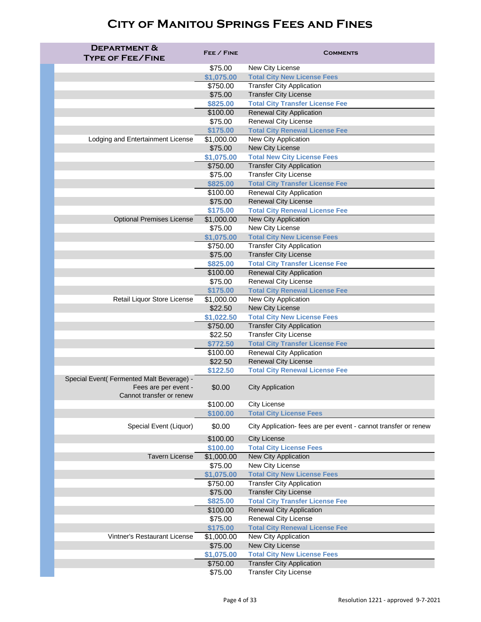| <b>DEPARTMENT &amp;</b>                                                                       |                      |                                                                           |
|-----------------------------------------------------------------------------------------------|----------------------|---------------------------------------------------------------------------|
| <b>TYPE OF FEE/FINE</b>                                                                       | FEE / FINE           | <b>COMMENTS</b>                                                           |
|                                                                                               | \$75.00              | New City License                                                          |
|                                                                                               | \$1,075.00           | <b>Total City New License Fees</b>                                        |
|                                                                                               | \$750.00             | <b>Transfer City Application</b>                                          |
|                                                                                               | \$75.00              | <b>Transfer City License</b>                                              |
|                                                                                               | \$825.00             | <b>Total City Transfer License Fee</b>                                    |
|                                                                                               | \$100.00             | <b>Renewal City Application</b>                                           |
|                                                                                               | \$75.00              | <b>Renewal City License</b>                                               |
|                                                                                               | \$175.00             | <b>Total City Renewal License Fee</b>                                     |
| Lodging and Entertainment License                                                             | \$1,000.00           | <b>New City Application</b>                                               |
|                                                                                               | \$75.00              | New City License                                                          |
|                                                                                               | \$1,075.00           | <b>Total New City License Fees</b>                                        |
|                                                                                               | \$750.00             | <b>Transfer City Application</b>                                          |
|                                                                                               | \$75.00              | <b>Transfer City License</b>                                              |
|                                                                                               | \$825.00             | <b>Total City Transfer License Fee</b>                                    |
|                                                                                               | \$100.00             | <b>Renewal City Application</b>                                           |
|                                                                                               | \$75.00              | <b>Renewal City License</b>                                               |
|                                                                                               | \$175.00             | <b>Total City Renewal License Fee</b>                                     |
| <b>Optional Premises License</b>                                                              | \$1,000.00           | <b>New City Application</b>                                               |
|                                                                                               | \$75.00              | New City License                                                          |
|                                                                                               | \$1,075.00           | <b>Total City New License Fees</b>                                        |
|                                                                                               | \$750.00             | <b>Transfer City Application</b>                                          |
|                                                                                               | \$75.00              | <b>Transfer City License</b>                                              |
|                                                                                               | \$825.00             | <b>Total City Transfer License Fee</b>                                    |
|                                                                                               | \$100.00             | <b>Renewal City Application</b>                                           |
|                                                                                               | \$75.00              | <b>Renewal City License</b>                                               |
|                                                                                               | \$175.00             | <b>Total City Renewal License Fee</b>                                     |
| Retail Liquor Store License                                                                   | \$1,000.00           | <b>New City Application</b>                                               |
|                                                                                               | \$22.50              | New City License                                                          |
|                                                                                               | \$1,022.50           | <b>Total City New License Fees</b>                                        |
|                                                                                               | \$750.00<br>\$22.50  | <b>Transfer City Application</b><br><b>Transfer City License</b>          |
|                                                                                               | \$772.50             | <b>Total City Transfer License Fee</b>                                    |
|                                                                                               | \$100.00             | <b>Renewal City Application</b>                                           |
|                                                                                               | \$22.50              | <b>Renewal City License</b>                                               |
|                                                                                               | \$122.50             | <b>Total City Renewal License Fee</b>                                     |
| Special Event( Fermented Malt Beverage) -<br>Fees are per event -<br>Cannot transfer or renew | \$0.00               | <b>City Application</b>                                                   |
|                                                                                               | \$100.00             | <b>City License</b>                                                       |
|                                                                                               | \$100.00             | <b>Total City License Fees</b>                                            |
| Special Event (Liquor)                                                                        | \$0.00               | City Application- fees are per event - cannot transfer or renew           |
|                                                                                               | \$100.00             | <b>City License</b>                                                       |
|                                                                                               | \$100.00             | <b>Total City License Fees</b>                                            |
| <b>Tavern License</b>                                                                         | \$1,000.00           | <b>New City Application</b>                                               |
|                                                                                               | \$75.00              | New City License                                                          |
|                                                                                               | \$1,075.00           | <b>Total City New License Fees</b>                                        |
|                                                                                               | \$750.00             | <b>Transfer City Application</b>                                          |
|                                                                                               | \$75.00              | <b>Transfer City License</b>                                              |
|                                                                                               | \$825.00<br>\$100.00 | <b>Total City Transfer License Fee</b><br><b>Renewal City Application</b> |
|                                                                                               | \$75.00              | <b>Renewal City License</b>                                               |
|                                                                                               | \$175.00             | <b>Total City Renewal License Fee</b>                                     |
| <b>Vintner's Restaurant License</b>                                                           | \$1,000.00           | New City Application                                                      |
|                                                                                               | \$75.00              | <b>New City License</b>                                                   |
|                                                                                               | \$1,075.00           | <b>Total City New License Fees</b>                                        |
|                                                                                               | \$750.00             | <b>Transfer City Application</b>                                          |
|                                                                                               | \$75.00              | <b>Transfer City License</b>                                              |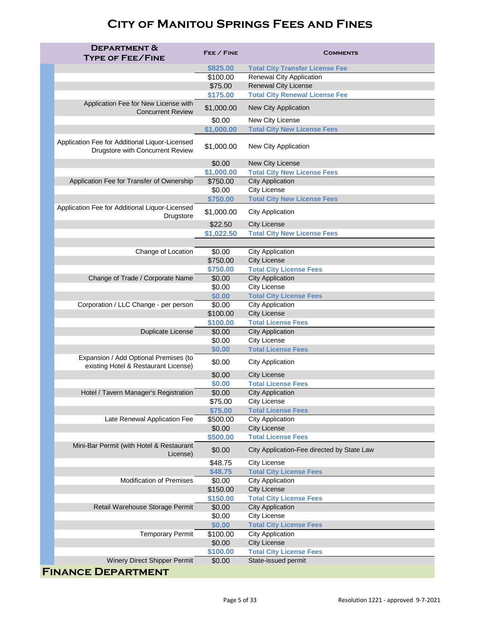| <b>DEPARTMENT &amp;</b><br><b>TYPE OF FEE/FINE</b>                                        | FEE / FINE         | <b>COMMENTS</b>                                  |
|-------------------------------------------------------------------------------------------|--------------------|--------------------------------------------------|
|                                                                                           | \$825.00           | <b>Total City Transfer License Fee</b>           |
|                                                                                           | \$100.00           | <b>Renewal City Application</b>                  |
|                                                                                           | \$75.00            | <b>Renewal City License</b>                      |
|                                                                                           | \$175.00           | <b>Total City Renewal License Fee</b>            |
| Application Fee for New License with<br><b>Concurrent Review</b>                          | \$1,000.00         | <b>New City Application</b>                      |
|                                                                                           | \$0.00             | New City License                                 |
|                                                                                           | \$1,000.00         | <b>Total City New License Fees</b>               |
| Application Fee for Additional Liquor-Licensed<br><b>Drugstore with Concurrent Review</b> | \$1,000.00         | New City Application                             |
|                                                                                           | \$0.00             | <b>New City License</b>                          |
|                                                                                           | \$1,000.00         | <b>Total City New License Fees</b>               |
| Application Fee for Transfer of Ownership                                                 | \$750.00           | <b>City Application</b>                          |
|                                                                                           | \$0.00             | <b>City License</b>                              |
|                                                                                           | \$750.00           | <b>Total City New License Fees</b>               |
| Application Fee for Additional Liquor-Licensed<br><b>Drugstore</b>                        | \$1,000.00         | <b>City Application</b>                          |
|                                                                                           | \$22.50            | <b>City License</b>                              |
|                                                                                           | \$1,022.50         | <b>Total City New License Fees</b>               |
|                                                                                           |                    |                                                  |
| Change of Location                                                                        | \$0.00             | <b>City Application</b>                          |
|                                                                                           | \$750.00           | <b>City License</b>                              |
|                                                                                           | \$750.00           | <b>Total City License Fees</b>                   |
| Change of Trade / Corporate Name                                                          | \$0.00             | <b>City Application</b>                          |
|                                                                                           | \$0.00             | <b>City License</b>                              |
|                                                                                           | \$0.00             | <b>Total City License Fees</b>                   |
| Corporation / LLC Change - per person                                                     | \$0.00             | <b>City Application</b>                          |
|                                                                                           | \$100.00           | <b>City License</b>                              |
|                                                                                           | \$100.00           | <b>Total License Fees</b>                        |
| <b>Duplicate License</b>                                                                  | \$0.00             | <b>City Application</b>                          |
|                                                                                           | \$0.00             | <b>City License</b>                              |
|                                                                                           | \$0.00             | <b>Total License Fees</b>                        |
| Expansion / Add Optional Premises (to<br>existing Hotel & Restaurant License)             | \$0.00             | <b>City Application</b>                          |
|                                                                                           | \$0.00             | <b>City License</b>                              |
|                                                                                           | \$0.00             | <b>Total License Fees</b>                        |
| Hotel / Tavern Manager's Registration                                                     | \$0.00             | <b>City Application</b>                          |
|                                                                                           | \$75.00            | <b>City License</b>                              |
|                                                                                           | \$75.00            | <b>Total License Fees</b>                        |
| Late Renewal Application Fee                                                              | \$500.00           | <b>City Application</b>                          |
|                                                                                           | \$0.00             | <b>City License</b><br><b>Total License Fees</b> |
| Mini-Bar Permit (with Hotel & Restaurant<br>License)                                      | \$500.00<br>\$0.00 | City Application-Fee directed by State Law       |
|                                                                                           | \$48.75            | <b>City License</b>                              |
|                                                                                           | \$48.75            | <b>Total City License Fees</b>                   |
| <b>Modification of Premises</b>                                                           | \$0.00             | <b>City Application</b>                          |
|                                                                                           | \$150.00           | <b>City License</b>                              |
|                                                                                           | \$150.00           | <b>Total City License Fees</b>                   |
| Retail Warehouse Storage Permit                                                           | \$0.00             | <b>City Application</b>                          |
|                                                                                           | \$0.00             | <b>City License</b>                              |
|                                                                                           | \$0.00             | <b>Total City License Fees</b>                   |
| <b>Temporary Permit</b>                                                                   | \$100.00           | <b>City Application</b>                          |
|                                                                                           | \$0.00             | <b>City License</b>                              |
|                                                                                           | \$100.00           | <b>Total City License Fees</b>                   |
| <b>Winery Direct Shipper Permit</b>                                                       | \$0.00             | State-issued permit                              |
| <b>FINANCE DEPARTMENT</b>                                                                 |                    |                                                  |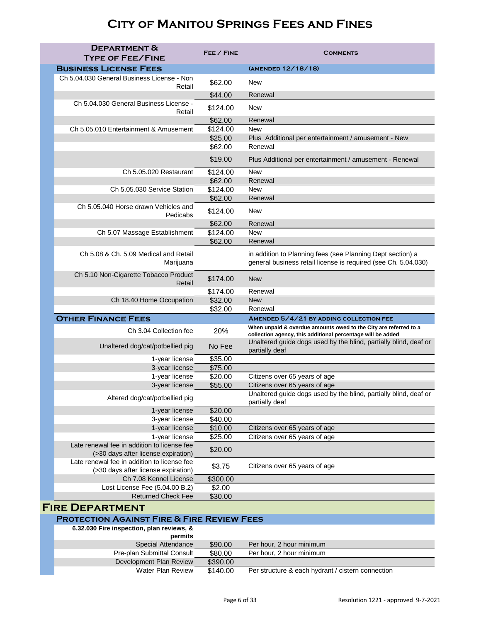| <b>DEPARTMENT &amp;</b><br><b>TYPE OF FEE/FINE</b>                                 | FEE / FINE         | <b>COMMENTS</b>                                                                                                                 |
|------------------------------------------------------------------------------------|--------------------|---------------------------------------------------------------------------------------------------------------------------------|
| <b>BUSINESS LICENSE FEES</b>                                                       |                    | (AMENDED 12/18/18)                                                                                                              |
| Ch 5.04.030 General Business License - Non                                         | \$62.00<br>Retail  | <b>New</b>                                                                                                                      |
|                                                                                    | \$44.00            | Renewal                                                                                                                         |
| Ch 5.04.030 General Business License -                                             | \$124.00<br>Retail | <b>New</b>                                                                                                                      |
|                                                                                    | \$62.00            | Renewal                                                                                                                         |
| Ch 5.05.010 Entertainment & Amusement                                              | \$124.00           | <b>New</b>                                                                                                                      |
|                                                                                    | \$25.00            | Plus Additional per entertainment / amusement - New                                                                             |
|                                                                                    | \$62.00            | Renewal                                                                                                                         |
|                                                                                    | \$19.00            | Plus Additional per entertainment / amusement - Renewal                                                                         |
| Ch 5.05.020 Restaurant                                                             | \$124.00           | <b>New</b>                                                                                                                      |
|                                                                                    | \$62.00            | Renewal                                                                                                                         |
| Ch 5.05.030 Service Station                                                        | \$124.00           | <b>New</b>                                                                                                                      |
|                                                                                    | \$62.00            | Renewal                                                                                                                         |
| Ch 5.05.040 Horse drawn Vehicles and<br>Pedicabs                                   | \$124.00           | <b>New</b>                                                                                                                      |
|                                                                                    | \$62.00            | Renewal                                                                                                                         |
| Ch 5.07 Massage Establishment                                                      | \$124.00           | <b>New</b>                                                                                                                      |
|                                                                                    | \$62.00            | Renewal                                                                                                                         |
| Ch 5.08 & Ch. 5.09 Medical and Retail<br>Marijuana                                 |                    | in addition to Planning fees (see Planning Dept section) a<br>general business retail license is required (see Ch. 5.04.030)    |
| Ch 5.10 Non-Cigarette Tobacco Product                                              | \$174.00<br>Retail | <b>New</b>                                                                                                                      |
|                                                                                    | \$174.00           | Renewal                                                                                                                         |
| Ch 18.40 Home Occupation                                                           | \$32.00            | <b>New</b>                                                                                                                      |
|                                                                                    | \$32.00            | Renewal                                                                                                                         |
| <b>OTHER FINANCE FEES</b>                                                          |                    | AMENDED 5/4/21 BY ADDING COLLECTION FEE                                                                                         |
| Ch 3.04 Collection fee                                                             | 20%                | When unpaid & overdue amounts owed to the City are referred to a<br>collection agency, this additional percentage will be added |
| Unaltered dog/cat/potbellied pig                                                   | No Fee             | Unaltered guide dogs used by the blind, partially blind, deaf or<br>partially deaf                                              |
| 1-year license                                                                     | \$35.00            |                                                                                                                                 |
| 3-year license                                                                     | \$75.00            |                                                                                                                                 |
| 1-year license                                                                     | \$20.00            | Citizens over 65 years of age                                                                                                   |
| 3-year license<br>Altered dog/cat/potbellied pig                                   | \$55.00            | Citizens over 65 years of age<br>Unaltered guide dogs used by the blind, partially blind, deaf or<br>partially deaf             |
| 1-year license                                                                     | \$20.00            |                                                                                                                                 |
| 3-year license                                                                     | \$40.00            |                                                                                                                                 |
| 1-year license                                                                     | \$10.00            | Citizens over 65 years of age                                                                                                   |
| 1-year license                                                                     | \$25.00            | Citizens over 65 years of age                                                                                                   |
| Late renewal fee in addition to license fee<br>(>30 days after license expiration) | \$20.00            |                                                                                                                                 |
| Late renewal fee in addition to license fee<br>(>30 days after license expiration) | \$3.75             | Citizens over 65 years of age                                                                                                   |
| Ch 7.08 Kennel License                                                             | \$300.00           |                                                                                                                                 |
| Lost License Fee (5.04.00 B.2)                                                     | \$2.00             |                                                                                                                                 |
| <b>Returned Check Fee</b>                                                          | \$30.00            |                                                                                                                                 |
| <b>FIRE DEPARTMENT</b>                                                             |                    |                                                                                                                                 |

#### **Protection Against Fire & Fire Review Fees**

| 6.32.030 Fire inspection, plan reviews, &<br>permits |          |                                                   |
|------------------------------------------------------|----------|---------------------------------------------------|
| <b>Special Attendance</b>                            | \$90.00  | Per hour, 2 hour minimum                          |
| <b>Pre-plan Submittal Consult</b>                    | \$80.00  | Per hour, 2 hour minimum                          |
| Development Plan Review                              | \$390.00 |                                                   |
| <b>Water Plan Review</b>                             | \$140.00 | Per structure & each hydrant / cistern connection |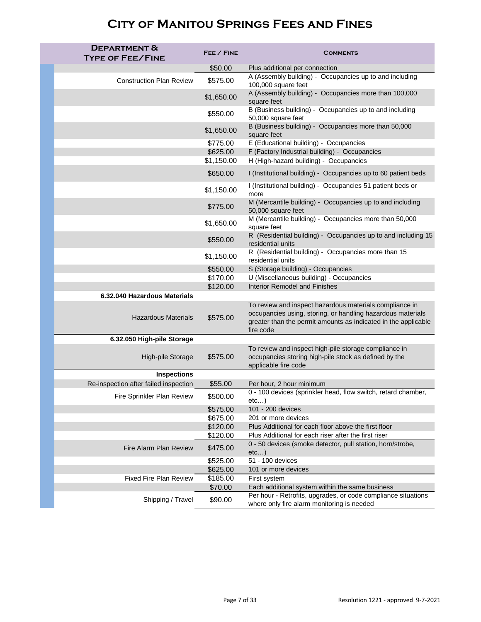| <b>DEPARTMENT &amp;</b><br><b>TYPE OF FEE/FINE</b> | FEE / FINE | <b>COMMENTS</b>                                                                                                                            |
|----------------------------------------------------|------------|--------------------------------------------------------------------------------------------------------------------------------------------|
|                                                    | \$50.00    | Plus additional per connection                                                                                                             |
| <b>Construction Plan Review</b>                    | \$575.00   | A (Assembly building) - Occupancies up to and including<br>100,000 square feet                                                             |
|                                                    | \$1,650.00 | A (Assembly building) - Occupancies more than 100,000<br>square feet                                                                       |
|                                                    | \$550.00   | B (Business building) - Occupancies up to and including<br>50,000 square feet                                                              |
|                                                    | \$1,650.00 | B (Business building) - Occupancies more than 50,000<br>square feet                                                                        |
|                                                    | \$775.00   | E (Educational building) - Occupancies                                                                                                     |
|                                                    | \$625.00   | F (Factory Industrial building) - Occupancies                                                                                              |
|                                                    | \$1,150.00 | H (High-hazard building) - Occupancies                                                                                                     |
|                                                    | \$650.00   | I (Institutional building) - Occupancies up to 60 patient beds                                                                             |
|                                                    | \$1,150.00 | I (Institutional building) - Occupancies 51 patient beds or<br>more                                                                        |
|                                                    | \$775.00   | M (Mercantile building) - Occupancies up to and including<br>50,000 square feet                                                            |
|                                                    | \$1,650.00 | M (Mercantile building) - Occupancies more than 50,000<br>square feet                                                                      |
|                                                    | \$550.00   | R (Residential building) - Occupancies up to and including 15<br>residential units                                                         |
|                                                    | \$1,150.00 | R (Residential building) - Occupancies more than 15<br>residential units                                                                   |
|                                                    | \$550.00   | S (Storage building) - Occupancies                                                                                                         |
|                                                    | \$170.00   | U (Miscellaneous building) - Occupancies                                                                                                   |
|                                                    | \$120.00   | <b>Interior Remodel and Finishes</b>                                                                                                       |
| 6.32.040 Hazardous Materials                       |            |                                                                                                                                            |
|                                                    |            | To review and inspect hazardous materials compliance in                                                                                    |
| <b>Hazardous Materials</b>                         | \$575.00   | occupancies using, storing, or handling hazardous materials<br>greater than the permit amounts as indicated in the applicable<br>fire code |
| 6.32.050 High-pile Storage                         |            |                                                                                                                                            |
| High-pile Storage                                  | \$575.00   | To review and inspect high-pile storage compliance in<br>occupancies storing high-pile stock as defined by the<br>applicable fire code     |
| <b>Inspections</b>                                 |            |                                                                                                                                            |
| Re-inspection after failed inspection              | \$55.00    | Per hour, 2 hour minimum                                                                                                                   |
| Fire Sprinkler Plan Review                         | \$500.00   | 0 - 100 devices (sprinkler head, flow switch, retard chamber,<br>etc)                                                                      |
|                                                    | \$575.00   | 101 - 200 devices                                                                                                                          |
|                                                    | \$675.00   | 201 or more devices                                                                                                                        |
|                                                    | \$120.00   | Plus Additional for each floor above the first floor                                                                                       |
|                                                    | \$120.00   | Plus Additional for each riser after the first riser                                                                                       |
| Fire Alarm Plan Review                             | \$475.00   | 0 - 50 devices (smoke detector, pull station, horn/strobe,<br>etc)                                                                         |
|                                                    | \$525.00   | 51 - 100 devices                                                                                                                           |
|                                                    | \$625.00   | 101 or more devices                                                                                                                        |
| <b>Fixed Fire Plan Review</b>                      | \$185.00   | First system                                                                                                                               |
|                                                    | \$70.00    | Each additional system within the same business<br>Per hour - Retrofits, upgrades, or code compliance situations                           |
| Shipping / Travel                                  | \$90.00    | where only fire alarm monitoring is needed                                                                                                 |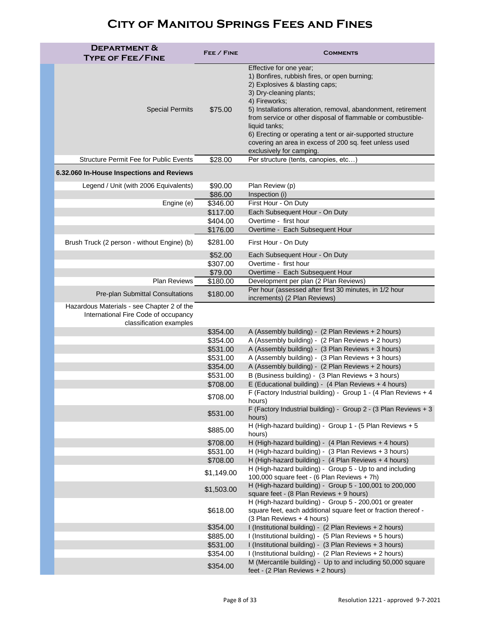| <b>DEPARTMENT &amp;</b><br><b>TYPE OF FEE/FINE</b>                                                            | FEE / FINE           | <b>COMMENTS</b>                                                                                                                                                                                                                                                                                                                                                                                                                                            |
|---------------------------------------------------------------------------------------------------------------|----------------------|------------------------------------------------------------------------------------------------------------------------------------------------------------------------------------------------------------------------------------------------------------------------------------------------------------------------------------------------------------------------------------------------------------------------------------------------------------|
| <b>Special Permits</b>                                                                                        | \$75.00              | Effective for one year;<br>1) Bonfires, rubbish fires, or open burning;<br>2) Explosives & blasting caps;<br>3) Dry-cleaning plants;<br>4) Fireworks;<br>5) Installations alteration, removal, abandonment, retirement<br>from service or other disposal of flammable or combustible-<br>liquid tanks;<br>6) Erecting or operating a tent or air-supported structure<br>covering an area in excess of 200 sq. feet unless used<br>exclusively for camping. |
| <b>Structure Permit Fee for Public Events</b>                                                                 | \$28.00              | Per structure (tents, canopies, etc)                                                                                                                                                                                                                                                                                                                                                                                                                       |
| 6.32.060 In-House Inspections and Reviews                                                                     |                      |                                                                                                                                                                                                                                                                                                                                                                                                                                                            |
| Legend / Unit (with 2006 Equivalents)                                                                         | \$90.00<br>\$86.00   | Plan Review (p)<br>Inspection (i)                                                                                                                                                                                                                                                                                                                                                                                                                          |
| Engine (e)                                                                                                    | \$346.00             | First Hour - On Duty                                                                                                                                                                                                                                                                                                                                                                                                                                       |
|                                                                                                               | \$117.00             | Each Subsequent Hour - On Duty                                                                                                                                                                                                                                                                                                                                                                                                                             |
|                                                                                                               | \$404.00             | Overtime - first hour                                                                                                                                                                                                                                                                                                                                                                                                                                      |
|                                                                                                               | \$176.00             | Overtime - Each Subsequent Hour                                                                                                                                                                                                                                                                                                                                                                                                                            |
| Brush Truck (2 person - without Engine) (b)                                                                   | \$281.00             | First Hour - On Duty                                                                                                                                                                                                                                                                                                                                                                                                                                       |
|                                                                                                               | \$52.00<br>\$307.00  | Each Subsequent Hour - On Duty<br>Overtime - first hour                                                                                                                                                                                                                                                                                                                                                                                                    |
|                                                                                                               | \$79.00              | Overtime - Each Subsequent Hour                                                                                                                                                                                                                                                                                                                                                                                                                            |
| <b>Plan Reviews</b>                                                                                           | \$180.00             | Development per plan (2 Plan Reviews)                                                                                                                                                                                                                                                                                                                                                                                                                      |
| <b>Pre-plan Submittal Consultations</b>                                                                       | \$180.00             | Per hour (assessed after first 30 minutes, in 1/2 hour<br>increments) (2 Plan Reviews)                                                                                                                                                                                                                                                                                                                                                                     |
| Hazardous Materials - see Chapter 2 of the<br>International Fire Code of occupancy<br>classification examples |                      |                                                                                                                                                                                                                                                                                                                                                                                                                                                            |
|                                                                                                               | \$354.00             | A (Assembly building) - (2 Plan Reviews + 2 hours)                                                                                                                                                                                                                                                                                                                                                                                                         |
|                                                                                                               | \$354.00             | A (Assembly building) - (2 Plan Reviews + 2 hours)                                                                                                                                                                                                                                                                                                                                                                                                         |
|                                                                                                               | \$531.00             | A (Assembly building) - (3 Plan Reviews + 3 hours)                                                                                                                                                                                                                                                                                                                                                                                                         |
|                                                                                                               | \$531.00<br>\$354.00 | A (Assembly building) - (3 Plan Reviews + 3 hours)<br>A (Assembly building) - (2 Plan Reviews + 2 hours)                                                                                                                                                                                                                                                                                                                                                   |
|                                                                                                               | \$531.00             | B (Business building) - (3 Plan Reviews + 3 hours)                                                                                                                                                                                                                                                                                                                                                                                                         |
|                                                                                                               | \$708.00             | E (Educational building) - (4 Plan Reviews + 4 hours)                                                                                                                                                                                                                                                                                                                                                                                                      |
|                                                                                                               | \$708.00             | F (Factory Industrial building) - Group 1 - (4 Plan Reviews + 4<br>hours)                                                                                                                                                                                                                                                                                                                                                                                  |
|                                                                                                               | \$531.00             | F (Factory Industrial building) - Group 2 - (3 Plan Reviews $+3$<br>hours)                                                                                                                                                                                                                                                                                                                                                                                 |
|                                                                                                               | \$885.00             | H (High-hazard building) - Group 1 - (5 Plan Reviews + 5<br>hours)                                                                                                                                                                                                                                                                                                                                                                                         |
|                                                                                                               | \$708.00             | H (High-hazard building) - (4 Plan Reviews + 4 hours)                                                                                                                                                                                                                                                                                                                                                                                                      |
|                                                                                                               | \$531.00             | H (High-hazard building) - (3 Plan Reviews + 3 hours)                                                                                                                                                                                                                                                                                                                                                                                                      |
|                                                                                                               | \$708.00             | H (High-hazard building) - (4 Plan Reviews + 4 hours)                                                                                                                                                                                                                                                                                                                                                                                                      |
|                                                                                                               | \$1,149.00           | H (High-hazard building) - Group 5 - Up to and including<br>100,000 square feet - (6 Plan Reviews + 7h)                                                                                                                                                                                                                                                                                                                                                    |
|                                                                                                               | \$1,503.00           | H (High-hazard building) - Group 5 - 100,001 to 200,000<br>square feet - (8 Plan Reviews + 9 hours)                                                                                                                                                                                                                                                                                                                                                        |
|                                                                                                               | \$618.00             | H (High-hazard building) - Group 5 - 200,001 or greater<br>square feet, each additional square feet or fraction thereof -<br>(3 Plan Reviews + 4 hours)                                                                                                                                                                                                                                                                                                    |
|                                                                                                               | \$354.00             | I (Institutional building) - (2 Plan Reviews + 2 hours)                                                                                                                                                                                                                                                                                                                                                                                                    |
|                                                                                                               | \$885.00             | I (Institutional building) - (5 Plan Reviews + 5 hours)                                                                                                                                                                                                                                                                                                                                                                                                    |
|                                                                                                               | \$531.00             | I (Institutional building) - (3 Plan Reviews + 3 hours)                                                                                                                                                                                                                                                                                                                                                                                                    |
|                                                                                                               | \$354.00             | I (Institutional building) - (2 Plan Reviews + 2 hours)<br>M (Mercantile building) - Up to and including 50,000 square                                                                                                                                                                                                                                                                                                                                     |
|                                                                                                               | \$354.00             | feet - (2 Plan Reviews + 2 hours)                                                                                                                                                                                                                                                                                                                                                                                                                          |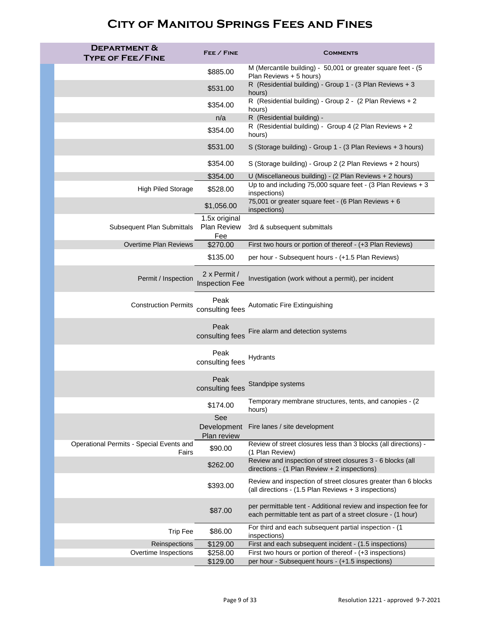| <b>DEPARTMENT &amp;</b><br><b>TYPE OF FEE/FINE</b> | FEE / FINE                                 | <b>COMMENTS</b>                                                                                                                 |
|----------------------------------------------------|--------------------------------------------|---------------------------------------------------------------------------------------------------------------------------------|
|                                                    | \$885.00                                   | M (Mercantile building) - 50,001 or greater square feet - (5<br>Plan Reviews + 5 hours)                                         |
|                                                    | \$531.00                                   | R (Residential building) - Group 1 - (3 Plan Reviews + 3<br>hours)                                                              |
|                                                    | \$354.00                                   | R (Residential building) - Group 2 - (2 Plan Reviews + 2<br>hours)                                                              |
|                                                    | n/a                                        | R (Residential building) -                                                                                                      |
|                                                    | \$354.00                                   | R (Residential building) - Group 4 (2 Plan Reviews + 2<br>hours)                                                                |
|                                                    | \$531.00                                   | S (Storage building) - Group 1 - (3 Plan Reviews + 3 hours)                                                                     |
|                                                    | \$354.00                                   | S (Storage building) - Group 2 (2 Plan Reviews + 2 hours)                                                                       |
|                                                    | \$354.00                                   | U (Miscellaneous building) - (2 Plan Reviews + 2 hours)                                                                         |
| <b>High Piled Storage</b>                          | \$528.00                                   | Up to and including 75,000 square feet - (3 Plan Reviews + 3<br>inspections)                                                    |
|                                                    | \$1,056.00                                 | 75,001 or greater square feet - (6 Plan Reviews + 6<br>inspections)                                                             |
| <b>Subsequent Plan Submittals</b>                  | 1.5x original<br><b>Plan Review</b><br>Fee | 3rd & subsequent submittals                                                                                                     |
| <b>Overtime Plan Reviews</b>                       | \$270.00                                   | First two hours or portion of thereof - (+3 Plan Reviews)                                                                       |
|                                                    | \$135.00                                   | per hour - Subsequent hours - (+1.5 Plan Reviews)                                                                               |
| Permit / Inspection                                | 2 x Permit /<br><b>Inspection Fee</b>      | Investigation (work without a permit), per incident                                                                             |
| <b>Construction Permits</b>                        | Peak<br>consulting fees                    | <b>Automatic Fire Extinguishing</b>                                                                                             |
|                                                    | Peak<br>consulting fees                    | Fire alarm and detection systems                                                                                                |
|                                                    | Peak<br>consulting fees                    | Hydrants                                                                                                                        |
|                                                    | Peak<br>consulting fees                    | Standpipe systems                                                                                                               |
|                                                    | \$174.00                                   | Temporary membrane structures, tents, and canopies - (2)<br>hours)                                                              |
|                                                    | <b>See</b><br>Development<br>Plan review   | Fire lanes / site development                                                                                                   |
| Operational Permits - Special Events and<br>Fairs  | \$90.00                                    | Review of street closures less than 3 blocks (all directions) -<br>(1 Plan Review)                                              |
|                                                    | \$262.00                                   | Review and inspection of street closures 3 - 6 blocks (all<br>directions - (1 Plan Review + 2 inspections)                      |
|                                                    | \$393.00                                   | Review and inspection of street closures greater than 6 blocks<br>(all directions - (1.5 Plan Reviews + 3 inspections)          |
|                                                    | \$87.00                                    | per permittable tent - Additional review and inspection fee for<br>each permittable tent as part of a street closure - (1 hour) |
| <b>Trip Fee</b>                                    | \$86.00                                    | For third and each subsequent partial inspection - (1<br>inspections)                                                           |
| Reinspections                                      | \$129.00                                   | First and each subsequent incident - (1.5 inspections)                                                                          |
| Overtime Inspections                               | \$258.00<br>\$129.00                       | First two hours or portion of thereof - (+3 inspections)<br>per hour - Subsequent hours - (+1.5 inspections)                    |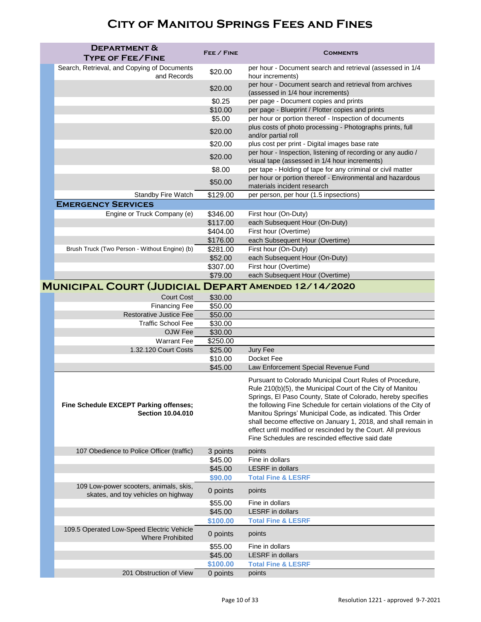| <b>DEPARTMENT &amp;</b>                                                       | FEE / FINE          |                                                                                                                                                                                                                                                                                                                                                                                                                                                                                                                 |
|-------------------------------------------------------------------------------|---------------------|-----------------------------------------------------------------------------------------------------------------------------------------------------------------------------------------------------------------------------------------------------------------------------------------------------------------------------------------------------------------------------------------------------------------------------------------------------------------------------------------------------------------|
| <b>TYPE OF FEE/FINE</b>                                                       |                     | <b>COMMENTS</b>                                                                                                                                                                                                                                                                                                                                                                                                                                                                                                 |
| Search, Retrieval, and Copying of Documents<br>and Records                    | \$20.00             | per hour - Document search and retrieval (assessed in 1/4<br>hour increments)                                                                                                                                                                                                                                                                                                                                                                                                                                   |
|                                                                               | \$20.00             | per hour - Document search and retrieval from archives<br>(assessed in 1/4 hour increments)                                                                                                                                                                                                                                                                                                                                                                                                                     |
|                                                                               | \$0.25              | per page - Document copies and prints                                                                                                                                                                                                                                                                                                                                                                                                                                                                           |
|                                                                               | \$10.00             | per page - Blueprint / Plotter copies and prints                                                                                                                                                                                                                                                                                                                                                                                                                                                                |
|                                                                               | \$5.00              | per hour or portion thereof - Inspection of documents                                                                                                                                                                                                                                                                                                                                                                                                                                                           |
|                                                                               | \$20.00             | plus costs of photo processing - Photographs prints, full<br>and/or partial roll                                                                                                                                                                                                                                                                                                                                                                                                                                |
|                                                                               | \$20.00             | plus cost per print - Digital images base rate                                                                                                                                                                                                                                                                                                                                                                                                                                                                  |
|                                                                               | \$20.00             | per hour - Inspection, listening of recording or any audio /<br>visual tape (assessed in 1/4 hour increments)                                                                                                                                                                                                                                                                                                                                                                                                   |
|                                                                               | \$8.00              | per tape - Holding of tape for any criminal or civil matter                                                                                                                                                                                                                                                                                                                                                                                                                                                     |
|                                                                               | \$50.00             | per hour or portion thereof - Environmental and hazardous<br>materials incident research                                                                                                                                                                                                                                                                                                                                                                                                                        |
| <b>Standby Fire Watch</b>                                                     | \$129.00            | per person, per hour (1.5 inpsections)                                                                                                                                                                                                                                                                                                                                                                                                                                                                          |
| <b>EMERGENCY SERVICES</b>                                                     |                     |                                                                                                                                                                                                                                                                                                                                                                                                                                                                                                                 |
| Engine or Truck Company (e)                                                   | \$346.00            | First hour (On-Duty)                                                                                                                                                                                                                                                                                                                                                                                                                                                                                            |
|                                                                               | \$117.00            | each Subsequent Hour (On-Duty)                                                                                                                                                                                                                                                                                                                                                                                                                                                                                  |
|                                                                               | \$404.00            | First hour (Overtime)                                                                                                                                                                                                                                                                                                                                                                                                                                                                                           |
|                                                                               | \$176.00            | each Subsequent Hour (Overtime)                                                                                                                                                                                                                                                                                                                                                                                                                                                                                 |
| Brush Truck (Two Person - Without Engine) (b)                                 | \$281.00            | First hour (On-Duty)                                                                                                                                                                                                                                                                                                                                                                                                                                                                                            |
|                                                                               | \$52.00             | each Subsequent Hour (On-Duty)                                                                                                                                                                                                                                                                                                                                                                                                                                                                                  |
|                                                                               | \$307.00            | First hour (Overtime)                                                                                                                                                                                                                                                                                                                                                                                                                                                                                           |
|                                                                               | \$79.00             | each Subsequent Hour (Overtime)                                                                                                                                                                                                                                                                                                                                                                                                                                                                                 |
| <b>MUNICIPAL COURT (JUDICIAL DEPART AMENDED 12/14/2020</b>                    |                     |                                                                                                                                                                                                                                                                                                                                                                                                                                                                                                                 |
| <b>Court Cost</b>                                                             | \$30.00             |                                                                                                                                                                                                                                                                                                                                                                                                                                                                                                                 |
| <b>Financing Fee</b>                                                          | \$50.00             |                                                                                                                                                                                                                                                                                                                                                                                                                                                                                                                 |
| <b>Restorative Justice Fee</b>                                                | \$50.00             |                                                                                                                                                                                                                                                                                                                                                                                                                                                                                                                 |
| <b>Traffic School Fee</b>                                                     | \$30.00             |                                                                                                                                                                                                                                                                                                                                                                                                                                                                                                                 |
| OJW Fee                                                                       | \$30.00             |                                                                                                                                                                                                                                                                                                                                                                                                                                                                                                                 |
| <b>Warrant Fee</b><br>1.32.120 Court Costs                                    | \$250.00<br>\$25.00 | Jury Fee                                                                                                                                                                                                                                                                                                                                                                                                                                                                                                        |
|                                                                               | \$10.00             | Docket Fee                                                                                                                                                                                                                                                                                                                                                                                                                                                                                                      |
|                                                                               | \$45.00             | Law Enforcement Special Revenue Fund                                                                                                                                                                                                                                                                                                                                                                                                                                                                            |
| Fine Schedule EXCEPT Parking offenses;<br><b>Section 10.04.010</b>            |                     | Pursuant to Colorado Municipal Court Rules of Procedure,<br>Rule 210(b)(5), the Municipal Court of the City of Manitou<br>Springs, El Paso County, State of Colorado, hereby specifies<br>the following Fine Schedule for certain violations of the City of<br>Manitou Springs' Municipal Code, as indicated. This Order<br>shall become effective on January 1, 2018, and shall remain in<br>effect until modified or rescinded by the Court. All previous<br>Fine Schedules are rescinded effective said date |
| 107 Obedience to Police Officer (traffic)                                     | 3 points            | points                                                                                                                                                                                                                                                                                                                                                                                                                                                                                                          |
|                                                                               | \$45.00             | Fine in dollars                                                                                                                                                                                                                                                                                                                                                                                                                                                                                                 |
|                                                                               | \$45.00             | <b>LESRF</b> in dollars                                                                                                                                                                                                                                                                                                                                                                                                                                                                                         |
|                                                                               | \$90.00             | <b>Total Fine &amp; LESRF</b>                                                                                                                                                                                                                                                                                                                                                                                                                                                                                   |
| 109 Low-power scooters, animals, skis,<br>skates, and toy vehicles on highway | 0 points<br>\$55.00 | points<br>Fine in dollars                                                                                                                                                                                                                                                                                                                                                                                                                                                                                       |
|                                                                               | \$45.00             | <b>LESRF</b> in dollars                                                                                                                                                                                                                                                                                                                                                                                                                                                                                         |
|                                                                               | \$100.00            | <b>Total Fine &amp; LESRF</b>                                                                                                                                                                                                                                                                                                                                                                                                                                                                                   |
| 109.5 Operated Low-Speed Electric Vehicle<br><b>Where Prohibited</b>          | 0 points            | points                                                                                                                                                                                                                                                                                                                                                                                                                                                                                                          |
|                                                                               | \$55.00             | Fine in dollars                                                                                                                                                                                                                                                                                                                                                                                                                                                                                                 |
|                                                                               | \$45.00             | <b>LESRF</b> in dollars                                                                                                                                                                                                                                                                                                                                                                                                                                                                                         |
|                                                                               | \$100.00            | <b>Total Fine &amp; LESRF</b>                                                                                                                                                                                                                                                                                                                                                                                                                                                                                   |
| 201 Obstruction of View                                                       | 0 points            | points                                                                                                                                                                                                                                                                                                                                                                                                                                                                                                          |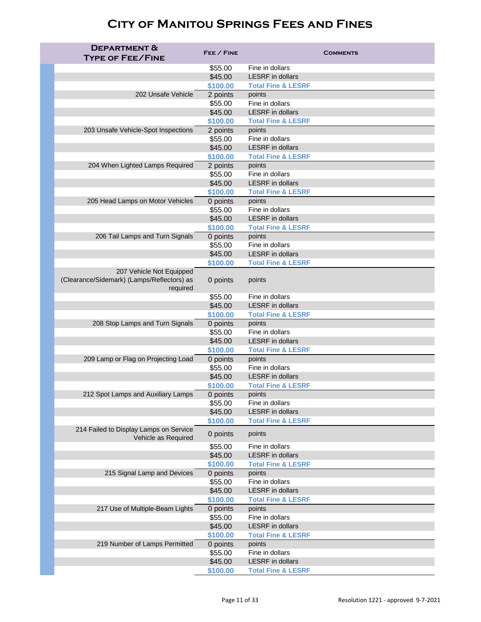| <b>DEPARTMENT &amp;</b><br><b>TYPE OF FEE/FINE</b>                                 | FEE / FINE          | <b>COMMENTS</b>               |
|------------------------------------------------------------------------------------|---------------------|-------------------------------|
|                                                                                    | \$55.00             | Fine in dollars               |
|                                                                                    | \$45.00             | <b>LESRF</b> in dollars       |
|                                                                                    | \$100.00            | <b>Total Fine &amp; LESRF</b> |
| 202 Unsafe Vehicle                                                                 | 2 points            | points                        |
|                                                                                    | \$55.00             | Fine in dollars               |
|                                                                                    | \$45.00             | <b>LESRF</b> in dollars       |
|                                                                                    | \$100.00            | <b>Total Fine &amp; LESRF</b> |
| 203 Unsafe Vehicle-Spot Inspections                                                | 2 points            | points                        |
|                                                                                    | \$55.00             | Fine in dollars               |
|                                                                                    | \$45.00             | <b>LESRF</b> in dollars       |
|                                                                                    | \$100.00            | <b>Total Fine &amp; LESRF</b> |
| 204 When Lighted Lamps Required                                                    | 2 points            | points                        |
|                                                                                    | \$55.00             | Fine in dollars               |
|                                                                                    | \$45.00             | <b>LESRF</b> in dollars       |
|                                                                                    | \$100.00            | <b>Total Fine &amp; LESRF</b> |
| 205 Head Lamps on Motor Vehicles                                                   | 0 points            | points                        |
|                                                                                    | \$55.00             | Fine in dollars               |
|                                                                                    | \$45.00             | <b>LESRF</b> in dollars       |
|                                                                                    | \$100.00            | <b>Total Fine &amp; LESRF</b> |
| 206 Tail Lamps and Turn Signals                                                    | 0 points            | points                        |
|                                                                                    | \$55.00             | Fine in dollars               |
|                                                                                    | \$45.00             | <b>LESRF</b> in dollars       |
|                                                                                    | \$100.00            | <b>Total Fine &amp; LESRF</b> |
| 207 Vehicle Not Equipped<br>(Clearance/Sidemark) (Lamps/Reflectors) as<br>required | 0 points            | points                        |
|                                                                                    | \$55.00             | Fine in dollars               |
|                                                                                    | \$45.00             | <b>LESRF</b> in dollars       |
|                                                                                    | \$100.00            | <b>Total Fine &amp; LESRF</b> |
| 208 Stop Lamps and Turn Signals                                                    | 0 points            | points                        |
|                                                                                    | \$55.00             | Fine in dollars               |
|                                                                                    | \$45.00             | <b>LESRF</b> in dollars       |
|                                                                                    | \$100.00            | <b>Total Fine &amp; LESRF</b> |
| 209 Lamp or Flag on Projecting Load                                                | 0 points            | points                        |
|                                                                                    | \$55.00             | Fine in dollars               |
|                                                                                    | \$45.00             | <b>LESRF</b> in dollars       |
|                                                                                    | \$100.00            | <b>Total Fine &amp; LESRF</b> |
| 212 Spot Lamps and Auxiliary Lamps                                                 | 0 points            | points                        |
|                                                                                    | \$55.00             | Fine in dollars               |
|                                                                                    | \$45.00             | <b>LESRF</b> in dollars       |
|                                                                                    | \$100.00            | <b>Total Fine &amp; LESRF</b> |
| 214 Failed to Display Lamps on Service<br>Vehicle as Required                      | 0 points<br>\$55.00 | points<br>Fine in dollars     |
|                                                                                    | \$45.00             | <b>LESRF</b> in dollars       |
|                                                                                    | \$100.00            | <b>Total Fine &amp; LESRF</b> |
| 215 Signal Lamp and Devices                                                        | 0 points            | points                        |
|                                                                                    | \$55.00             | Fine in dollars               |
|                                                                                    | \$45.00             | <b>LESRF</b> in dollars       |
|                                                                                    | \$100.00            | <b>Total Fine &amp; LESRF</b> |
| 217 Use of Multiple-Beam Lights                                                    | 0 points            | points                        |
|                                                                                    | \$55.00             | Fine in dollars               |
|                                                                                    | \$45.00             | <b>LESRF</b> in dollars       |
|                                                                                    | \$100.00            | <b>Total Fine &amp; LESRF</b> |
| 219 Number of Lamps Permitted                                                      | 0 points            | points                        |
|                                                                                    | \$55.00             | Fine in dollars               |
|                                                                                    | \$45.00             | <b>LESRF</b> in dollars       |
|                                                                                    | \$100.00            | <b>Total Fine &amp; LESRF</b> |
|                                                                                    |                     |                               |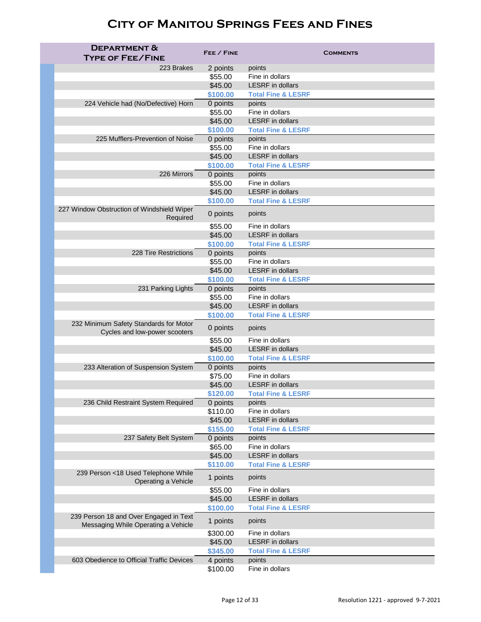| <b>DEPARTMENT &amp;</b><br><b>TYPE OF FEE/FINE</b>                      | FEE / FINE          | <b>COMMENTS</b>                            |
|-------------------------------------------------------------------------|---------------------|--------------------------------------------|
| 223 Brakes                                                              | 2 points            | points                                     |
|                                                                         | \$55.00             | Fine in dollars                            |
|                                                                         | \$45.00             | <b>LESRF</b> in dollars                    |
|                                                                         | \$100.00            | <b>Total Fine &amp; LESRF</b>              |
| 224 Vehicle had (No/Defective) Horn                                     | 0 points            | points                                     |
|                                                                         | \$55.00             | Fine in dollars                            |
|                                                                         | \$45.00             | <b>LESRF</b> in dollars                    |
|                                                                         | \$100.00            | <b>Total Fine &amp; LESRF</b>              |
| 225 Mufflers-Prevention of Noise                                        | 0 points            | points                                     |
|                                                                         | \$55.00             | Fine in dollars                            |
|                                                                         | \$45.00             | <b>LESRF</b> in dollars                    |
|                                                                         | \$100.00            | <b>Total Fine &amp; LESRF</b>              |
| 226 Mirrors                                                             | 0 points            | points<br>Fine in dollars                  |
|                                                                         | \$55.00<br>\$45.00  | <b>LESRF</b> in dollars                    |
|                                                                         | \$100.00            | <b>Total Fine &amp; LESRF</b>              |
| 227 Window Obstruction of Windshield Wiper                              |                     |                                            |
| Required                                                                | 0 points            | points                                     |
|                                                                         | \$55.00             | Fine in dollars                            |
|                                                                         | \$45.00             | <b>LESRF</b> in dollars                    |
|                                                                         | \$100.00            | <b>Total Fine &amp; LESRF</b>              |
| 228 Tire Restrictions                                                   | 0 points            | points<br>Fine in dollars                  |
|                                                                         | \$55.00<br>\$45.00  | <b>LESRF</b> in dollars                    |
|                                                                         | \$100.00            | <b>Total Fine &amp; LESRF</b>              |
| 231 Parking Lights                                                      | 0 points            | points                                     |
|                                                                         | \$55.00             | Fine in dollars                            |
|                                                                         | \$45.00             | <b>LESRF</b> in dollars                    |
|                                                                         | \$100.00            | <b>Total Fine &amp; LESRF</b>              |
| 232 Minimum Safety Standards for Motor<br>Cycles and low-power scooters | 0 points            | points                                     |
|                                                                         | \$55.00             | Fine in dollars                            |
|                                                                         | \$45.00             | <b>LESRF</b> in dollars                    |
|                                                                         | \$100.00            | <b>Total Fine &amp; LESRF</b>              |
| 233 Alteration of Suspension System                                     | 0 points            | points                                     |
|                                                                         | \$75.00             | Fine in dollars                            |
|                                                                         | \$45.00             | <b>LESRF</b> in dollars                    |
|                                                                         | \$120.00            | <b>Total Fine &amp; LESRF</b>              |
| 236 Child Restraint System Required                                     | 0 points            | points                                     |
|                                                                         | \$110.00            | Fine in dollars<br><b>LESRF</b> in dollars |
|                                                                         | \$45.00<br>\$155.00 | <b>Total Fine &amp; LESRF</b>              |
| 237 Safety Belt System                                                  | 0 points            | points                                     |
|                                                                         | \$65.00             | Fine in dollars                            |
|                                                                         | \$45.00             | <b>LESRF</b> in dollars                    |
|                                                                         | \$110.00            | <b>Total Fine &amp; LESRF</b>              |
| 239 Person <18 Used Telephone While                                     | 1 points            | points                                     |
| Operating a Vehicle                                                     |                     | Fine in dollars                            |
|                                                                         | \$55.00<br>\$45.00  | <b>LESRF</b> in dollars                    |
|                                                                         | \$100.00            | <b>Total Fine &amp; LESRF</b>              |
| 239 Person 18 and Over Engaged in Text                                  | 1 points            | points                                     |
| Messaging While Operating a Vehicle                                     | \$300.00            | Fine in dollars                            |
|                                                                         | \$45.00             | <b>LESRF</b> in dollars                    |
|                                                                         | \$345.00            | <b>Total Fine &amp; LESRF</b>              |
| 603 Obedience to Official Traffic Devices                               | 4 points            | points                                     |
|                                                                         | \$100.00            | Fine in dollars                            |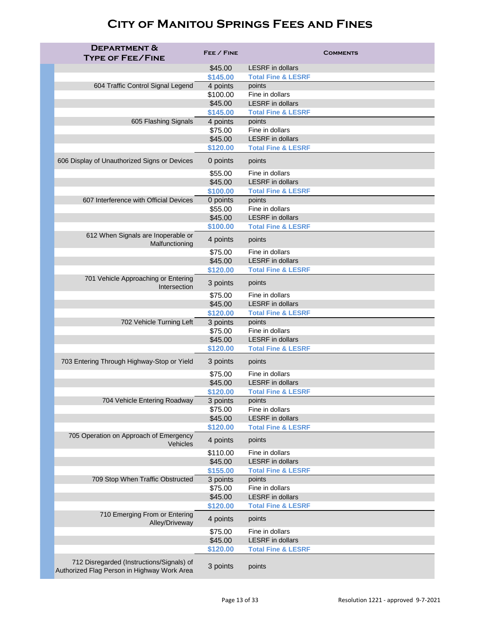| <b>DEPARTMENT &amp;</b><br><b>TYPE OF FEE/FINE</b>                                       | FEE / FINE          | <b>COMMENTS</b>                                          |
|------------------------------------------------------------------------------------------|---------------------|----------------------------------------------------------|
|                                                                                          | \$45.00             | <b>LESRF</b> in dollars                                  |
|                                                                                          | \$145.00            | <b>Total Fine &amp; LESRF</b>                            |
| 604 Traffic Control Signal Legend                                                        | 4 points            | points                                                   |
|                                                                                          | \$100.00            | Fine in dollars                                          |
|                                                                                          | \$45.00             | <b>LESRF</b> in dollars                                  |
|                                                                                          | \$145.00            | <b>Total Fine &amp; LESRF</b>                            |
| 605 Flashing Signals                                                                     | 4 points            | points                                                   |
|                                                                                          | \$75.00             | Fine in dollars                                          |
|                                                                                          | \$45.00<br>\$120.00 | <b>LESRF</b> in dollars<br><b>Total Fine &amp; LESRF</b> |
| 606 Display of Unauthorized Signs or Devices                                             | 0 points            | points                                                   |
|                                                                                          | \$55.00             | Fine in dollars                                          |
|                                                                                          | \$45.00             | <b>LESRF</b> in dollars                                  |
|                                                                                          | \$100.00            | <b>Total Fine &amp; LESRF</b>                            |
| 607 Interference with Official Devices                                                   | 0 points            | points                                                   |
|                                                                                          | \$55.00             | Fine in dollars                                          |
|                                                                                          | \$45.00             | <b>LESRF</b> in dollars                                  |
|                                                                                          | \$100.00            | <b>Total Fine &amp; LESRF</b>                            |
| 612 When Signals are Inoperable or<br>Malfunctioning                                     | 4 points            | points                                                   |
|                                                                                          | \$75.00             | Fine in dollars                                          |
|                                                                                          | \$45.00             | <b>LESRF</b> in dollars                                  |
|                                                                                          | \$120.00            | <b>Total Fine &amp; LESRF</b>                            |
| 701 Vehicle Approaching or Entering<br>Intersection                                      | 3 points            | points                                                   |
|                                                                                          | \$75.00             | Fine in dollars                                          |
|                                                                                          | \$45.00             | <b>LESRF</b> in dollars                                  |
|                                                                                          | \$120.00            | <b>Total Fine &amp; LESRF</b>                            |
| 702 Vehicle Turning Left                                                                 | 3 points<br>\$75.00 | points<br>Fine in dollars                                |
|                                                                                          | \$45.00             | <b>LESRF</b> in dollars                                  |
|                                                                                          | \$120.00            | <b>Total Fine &amp; LESRF</b>                            |
| 703 Entering Through Highway-Stop or Yield                                               | 3 points            | points                                                   |
|                                                                                          | \$75.00             | Fine in dollars                                          |
|                                                                                          | \$45.00             | <b>LESRF</b> in dollars                                  |
|                                                                                          | \$120.00            | <b>Total Fine &amp; LESRF</b>                            |
| 704 Vehicle Entering Roadway                                                             | 3 points            | points                                                   |
|                                                                                          | \$75.00             | Fine in dollars                                          |
|                                                                                          | \$45.00             | <b>LESRF</b> in dollars                                  |
|                                                                                          | \$120.00            | <b>Total Fine &amp; LESRF</b>                            |
| 705 Operation on Approach of Emergency<br>Vehicles                                       | 4 points            | points                                                   |
|                                                                                          | \$110.00            | Fine in dollars                                          |
|                                                                                          | \$45.00             | <b>LESRF</b> in dollars                                  |
| 709 Stop When Traffic Obstructed                                                         | \$155.00            | <b>Total Fine &amp; LESRF</b><br>points                  |
|                                                                                          | 3 points<br>\$75.00 | Fine in dollars                                          |
|                                                                                          | \$45.00             | <b>LESRF</b> in dollars                                  |
|                                                                                          | \$120.00            | <b>Total Fine &amp; LESRF</b>                            |
| 710 Emerging From or Entering<br>Alley/Driveway                                          | 4 points            | points                                                   |
|                                                                                          | \$75.00             | Fine in dollars                                          |
|                                                                                          | \$45.00             | <b>LESRF</b> in dollars                                  |
|                                                                                          | \$120.00            | <b>Total Fine &amp; LESRF</b>                            |
| 712 Disregarded (Instructions/Signals) of<br>Authorized Flag Person in Highway Work Area | 3 points            | points                                                   |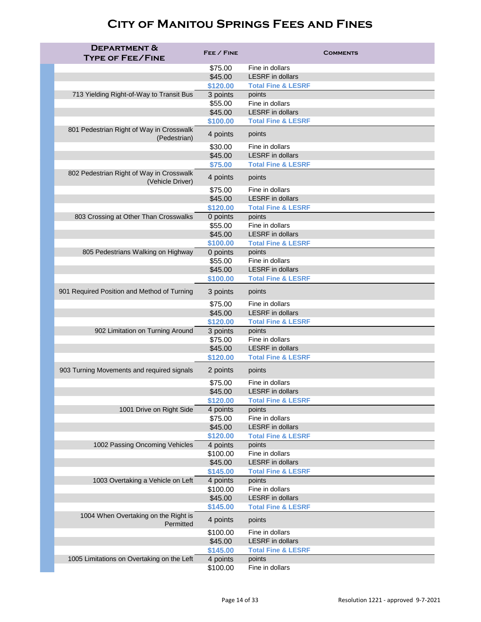| <b>DEPARTMENT &amp;</b>                                      |                     |                                            |
|--------------------------------------------------------------|---------------------|--------------------------------------------|
| <b>TYPE OF FEE/FINE</b>                                      | FEE / FINE          | <b>COMMENTS</b>                            |
|                                                              | \$75.00             | Fine in dollars                            |
|                                                              | \$45.00             | <b>LESRF</b> in dollars                    |
|                                                              | \$120.00            | <b>Total Fine &amp; LESRF</b>              |
| 713 Yielding Right-of-Way to Transit Bus                     | 3 points            | points                                     |
|                                                              | \$55.00             | Fine in dollars                            |
|                                                              | \$45.00             | <b>LESRF</b> in dollars                    |
|                                                              | \$100.00            | <b>Total Fine &amp; LESRF</b>              |
| 801 Pedestrian Right of Way in Crosswalk<br>(Pedestrian)     | 4 points            | points                                     |
|                                                              | \$30.00             | Fine in dollars                            |
|                                                              | \$45.00             | <b>LESRF</b> in dollars                    |
|                                                              | \$75.00             | <b>Total Fine &amp; LESRF</b>              |
| 802 Pedestrian Right of Way in Crosswalk<br>(Vehicle Driver) | 4 points            | points                                     |
|                                                              | \$75.00             | Fine in dollars                            |
|                                                              | \$45.00             | <b>LESRF</b> in dollars                    |
| 803 Crossing at Other Than Crosswalks                        | \$120.00            | <b>Total Fine &amp; LESRF</b><br>points    |
|                                                              | 0 points<br>\$55.00 | Fine in dollars                            |
|                                                              | \$45.00             | <b>LESRF</b> in dollars                    |
|                                                              | \$100.00            | <b>Total Fine &amp; LESRF</b>              |
| 805 Pedestrians Walking on Highway                           | 0 points            | points                                     |
|                                                              | \$55.00             | Fine in dollars                            |
|                                                              | \$45.00             | <b>LESRF</b> in dollars                    |
|                                                              | \$100.00            | <b>Total Fine &amp; LESRF</b>              |
| 901 Required Position and Method of Turning                  | 3 points            | points                                     |
|                                                              | \$75.00             | Fine in dollars                            |
|                                                              | \$45.00             | <b>LESRF</b> in dollars                    |
|                                                              | \$120.00            | <b>Total Fine &amp; LESRF</b>              |
| 902 Limitation on Turning Around                             | 3 points            | points                                     |
|                                                              | \$75.00             | Fine in dollars                            |
|                                                              | \$45.00             | <b>LESRF</b> in dollars                    |
|                                                              | \$120.00            | <b>Total Fine &amp; LESRF</b>              |
| 903 Turning Movements and required signals                   | 2 points            | points                                     |
|                                                              | \$75.00             | Fine in dollars                            |
|                                                              | \$45.00             | <b>LESRF</b> in dollars                    |
|                                                              | \$120.00            | <b>Total Fine &amp; LESRF</b>              |
| 1001 Drive on Right Side                                     | 4 points            | points                                     |
|                                                              | \$75.00             | Fine in dollars<br><b>LESRF</b> in dollars |
|                                                              | \$45.00<br>\$120.00 | <b>Total Fine &amp; LESRF</b>              |
| 1002 Passing Oncoming Vehicles                               | 4 points            | points                                     |
|                                                              | \$100.00            | Fine in dollars                            |
|                                                              | \$45.00             | <b>LESRF</b> in dollars                    |
|                                                              | \$145.00            | <b>Total Fine &amp; LESRF</b>              |
| 1003 Overtaking a Vehicle on Left                            | 4 points            | points                                     |
|                                                              | \$100.00            | Fine in dollars                            |
|                                                              | \$45.00             | <b>LESRF</b> in dollars                    |
|                                                              | \$145.00            | <b>Total Fine &amp; LESRF</b>              |
| 1004 When Overtaking on the Right is<br>Permitted            | 4 points            | points                                     |
|                                                              | \$100.00            | Fine in dollars                            |
|                                                              | \$45.00             | <b>LESRF</b> in dollars                    |
|                                                              | \$145.00            | <b>Total Fine &amp; LESRF</b>              |
| 1005 Limitations on Overtaking on the Left                   | 4 points            | points                                     |
|                                                              | \$100.00            | Fine in dollars                            |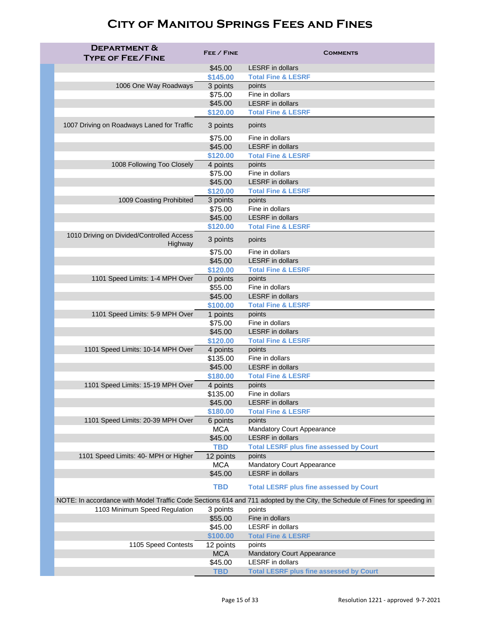| <b>DEPARTMENT &amp;</b><br><b>TYPE OF FEE/FINE</b> | FEE / FINE              | <b>COMMENTS</b>                                                                                                             |
|----------------------------------------------------|-------------------------|-----------------------------------------------------------------------------------------------------------------------------|
|                                                    | \$45.00                 | <b>LESRF</b> in dollars                                                                                                     |
|                                                    | \$145.00                | <b>Total Fine &amp; LESRF</b>                                                                                               |
| 1006 One Way Roadways                              | 3 points                | points                                                                                                                      |
|                                                    | \$75.00                 | Fine in dollars                                                                                                             |
|                                                    | \$45.00                 | <b>LESRF</b> in dollars                                                                                                     |
|                                                    | \$120.00                | <b>Total Fine &amp; LESRF</b>                                                                                               |
| 1007 Driving on Roadways Laned for Traffic         | 3 points                | points                                                                                                                      |
|                                                    | \$75.00                 | Fine in dollars                                                                                                             |
|                                                    | \$45.00                 | <b>LESRF</b> in dollars                                                                                                     |
|                                                    | \$120.00                | <b>Total Fine &amp; LESRF</b>                                                                                               |
| 1008 Following Too Closely                         | 4 points                | points                                                                                                                      |
|                                                    | \$75.00                 | Fine in dollars                                                                                                             |
|                                                    | \$45.00                 | <b>LESRF</b> in dollars                                                                                                     |
|                                                    | \$120.00                | <b>Total Fine &amp; LESRF</b>                                                                                               |
| 1009 Coasting Prohibited                           | 3 points                | points<br>Fine in dollars                                                                                                   |
|                                                    | \$75.00<br>\$45.00      | <b>LESRF</b> in dollars                                                                                                     |
|                                                    |                         |                                                                                                                             |
| 1010 Driving on Divided/Controlled Access          | \$120.00                | <b>Total Fine &amp; LESRF</b>                                                                                               |
| Highway                                            | 3 points                | points                                                                                                                      |
|                                                    | \$75.00                 | Fine in dollars<br><b>LESRF</b> in dollars                                                                                  |
|                                                    | \$45.00                 |                                                                                                                             |
|                                                    | \$120.00                | <b>Total Fine &amp; LESRF</b>                                                                                               |
| 1101 Speed Limits: 1-4 MPH Over                    | 0 points<br>\$55.00     | points<br>Fine in dollars                                                                                                   |
|                                                    | \$45.00                 | <b>LESRF</b> in dollars                                                                                                     |
|                                                    | \$100.00                | <b>Total Fine &amp; LESRF</b>                                                                                               |
| 1101 Speed Limits: 5-9 MPH Over                    | 1 points                | points                                                                                                                      |
|                                                    | \$75.00                 | Fine in dollars                                                                                                             |
|                                                    | \$45.00                 | <b>LESRF</b> in dollars                                                                                                     |
|                                                    | \$120.00                | <b>Total Fine &amp; LESRF</b>                                                                                               |
| 1101 Speed Limits: 10-14 MPH Over                  | 4 points                | points                                                                                                                      |
|                                                    | \$135.00                | Fine in dollars                                                                                                             |
|                                                    | \$45.00                 | <b>LESRF</b> in dollars                                                                                                     |
|                                                    | \$180.00                | <b>Total Fine &amp; LESRF</b>                                                                                               |
| 1101 Speed Limits: 15-19 MPH Over                  | 4 points                | points                                                                                                                      |
|                                                    | \$135.00                | Fine in dollars                                                                                                             |
|                                                    | \$45.00                 | <b>LESRF</b> in dollars                                                                                                     |
|                                                    | \$180.00                | <b>Total Fine &amp; LESRF</b>                                                                                               |
| 1101 Speed Limits: 20-39 MPH Over                  | 6 points                | points                                                                                                                      |
|                                                    | <b>MCA</b>              | <b>Mandatory Court Appearance</b>                                                                                           |
|                                                    | \$45.00                 | <b>LESRF</b> in dollars                                                                                                     |
|                                                    | <b>TBD</b>              | <b>Total LESRF plus fine assessed by Court</b>                                                                              |
| 1101 Speed Limits: 40- MPH or Higher               | 12 points               | points                                                                                                                      |
|                                                    | <b>MCA</b>              | <b>Mandatory Court Appearance</b>                                                                                           |
|                                                    | \$45.00                 | <b>LESRF</b> in dollars                                                                                                     |
|                                                    | <b>TBD</b>              | <b>Total LESRF plus fine assessed by Court</b>                                                                              |
|                                                    |                         | NOTE: In accordance with Model Traffic Code Sections 614 and 711 adopted by the City, the Schedule of Fines for speeding in |
| 1103 Minimum Speed Regulation                      | 3 points                | points                                                                                                                      |
|                                                    | \$55.00                 | Fine in dollars                                                                                                             |
|                                                    | \$45.00                 | <b>LESRF</b> in dollars                                                                                                     |
|                                                    | \$100.00                | <b>Total Fine &amp; LESRF</b>                                                                                               |
| 1105 Speed Contests                                | 12 points<br><b>MCA</b> | points                                                                                                                      |
|                                                    |                         | <b>Mandatory Court Appearance</b><br><b>LESRF</b> in dollars                                                                |
|                                                    | \$45.00<br><b>TBD</b>   | <b>Total LESRF plus fine assessed by Court</b>                                                                              |
|                                                    |                         |                                                                                                                             |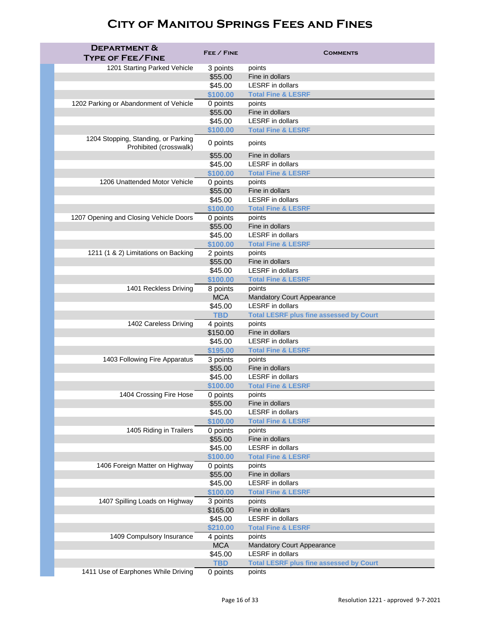| <b>DEPARTMENT &amp;</b><br><b>TYPE OF FEE/FINE</b>            | FEE / FINE            | <b>COMMENTS</b>                                              |
|---------------------------------------------------------------|-----------------------|--------------------------------------------------------------|
| 1201 Starting Parked Vehicle                                  | 3 points              | points                                                       |
|                                                               | \$55.00               | Fine in dollars                                              |
|                                                               | \$45.00               | <b>LESRF</b> in dollars                                      |
|                                                               | \$100.00              | <b>Total Fine &amp; LESRF</b>                                |
| 1202 Parking or Abandonment of Vehicle                        | 0 points              | points                                                       |
|                                                               | \$55.00               | Fine in dollars                                              |
|                                                               | \$45.00               | <b>LESRF</b> in dollars                                      |
|                                                               | \$100.00              | <b>Total Fine &amp; LESRF</b>                                |
| 1204 Stopping, Standing, or Parking<br>Prohibited (crosswalk) | 0 points              | points                                                       |
|                                                               | \$55.00               | Fine in dollars                                              |
|                                                               | \$45.00               | <b>LESRF</b> in dollars                                      |
|                                                               | \$100.00              | <b>Total Fine &amp; LESRF</b>                                |
| 1206 Unattended Motor Vehicle                                 | 0 points              | points                                                       |
|                                                               | \$55.00               | Fine in dollars                                              |
|                                                               | \$45.00               | <b>LESRF</b> in dollars                                      |
|                                                               | \$100.00              | <b>Total Fine &amp; LESRF</b>                                |
| 1207 Opening and Closing Vehicle Doors                        | 0 points              | points                                                       |
|                                                               | \$55.00               | Fine in dollars                                              |
|                                                               | \$45.00               | <b>LESRF</b> in dollars                                      |
|                                                               | \$100.00              | <b>Total Fine &amp; LESRF</b>                                |
| 1211 (1 & 2) Limitations on Backing                           | 2 points              | points                                                       |
|                                                               | \$55.00               | Fine in dollars                                              |
|                                                               | \$45.00               | <b>LESRF</b> in dollars                                      |
|                                                               | \$100.00              | <b>Total Fine &amp; LESRF</b>                                |
| 1401 Reckless Driving                                         | 8 points              | points                                                       |
|                                                               | <b>MCA</b>            | <b>Mandatory Court Appearance</b><br><b>LESRF</b> in dollars |
|                                                               | \$45.00<br><b>TBD</b> |                                                              |
| 1402 Careless Driving                                         | 4 points              | <b>Total LESRF plus fine assessed by Court</b><br>points     |
|                                                               | \$150.00              | Fine in dollars                                              |
|                                                               | \$45.00               | <b>LESRF</b> in dollars                                      |
|                                                               | \$195.00              | <b>Total Fine &amp; LESRF</b>                                |
| 1403 Following Fire Apparatus                                 | 3 points              | points                                                       |
|                                                               | \$55.00               | Fine in dollars                                              |
|                                                               | \$45.00               | <b>LESRF</b> in dollars                                      |
|                                                               | \$100.00              | <b>Total Fine &amp; LESRF</b>                                |
| 1404 Crossing Fire Hose                                       | 0 points              | points                                                       |
|                                                               | \$55.00               | Fine in dollars                                              |
|                                                               | \$45.00               | <b>LESRF</b> in dollars                                      |
|                                                               | \$100.00              | <b>Total Fine &amp; LESRF</b>                                |
| 1405 Riding in Trailers                                       | 0 points              | points                                                       |
|                                                               | \$55.00               | Fine in dollars                                              |
|                                                               | \$45.00               | <b>LESRF</b> in dollars                                      |
|                                                               | \$100.00              | <b>Total Fine &amp; LESRF</b>                                |
| 1406 Foreign Matter on Highway                                | 0 points              | points                                                       |
|                                                               | \$55.00               | Fine in dollars                                              |
|                                                               | \$45.00               | <b>LESRF</b> in dollars                                      |
|                                                               | \$100.00              | <b>Total Fine &amp; LESRF</b>                                |
| 1407 Spilling Loads on Highway                                | 3 points<br>\$165.00  | points<br>Fine in dollars                                    |
|                                                               | \$45.00               | <b>LESRF</b> in dollars                                      |
|                                                               | \$210.00              | <b>Total Fine &amp; LESRF</b>                                |
| 1409 Compulsory Insurance                                     | 4 points              | points                                                       |
|                                                               | <b>MCA</b>            | <b>Mandatory Court Appearance</b>                            |
|                                                               | \$45.00               | <b>LESRF</b> in dollars                                      |
|                                                               | <b>TBD</b>            | <b>Total LESRF plus fine assessed by Court</b>               |
| 1411 Use of Earphones While Driving                           | 0 points              | points                                                       |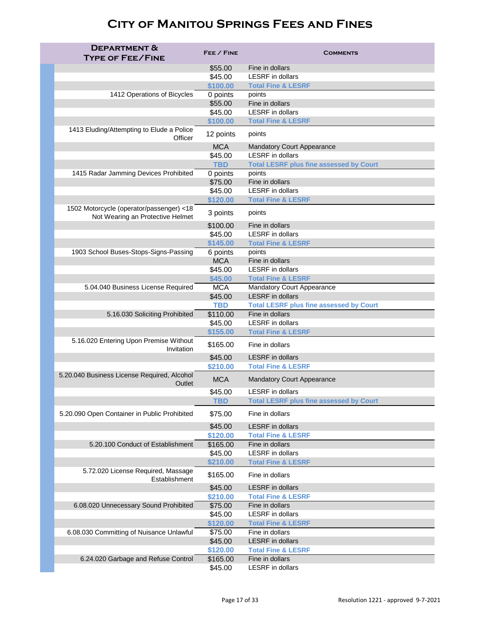| <b>DEPARTMENT &amp;</b><br><b>TYPE OF FEE/FINE</b>    | FEE / FINE             | <b>COMMENTS</b>                                |
|-------------------------------------------------------|------------------------|------------------------------------------------|
|                                                       | \$55.00                | Fine in dollars                                |
|                                                       | \$45.00                | <b>LESRF</b> in dollars                        |
|                                                       | \$100.00               | <b>Total Fine &amp; LESRF</b>                  |
| 1412 Operations of Bicycles                           | 0 points               | points                                         |
|                                                       | \$55.00                | Fine in dollars                                |
|                                                       | \$45.00                | <b>LESRF</b> in dollars                        |
|                                                       | \$100.00               | <b>Total Fine &amp; LESRF</b>                  |
| 1413 Eluding/Attempting to Elude a Police<br>Officer  | 12 points              | points                                         |
|                                                       | <b>MCA</b>             | <b>Mandatory Court Appearance</b>              |
|                                                       | \$45.00                | <b>LESRF</b> in dollars                        |
|                                                       | <b>TBD</b>             | <b>Total LESRF plus fine assessed by Court</b> |
| 1415 Radar Jamming Devices Prohibited                 | 0 points               | points                                         |
|                                                       | \$75.00                | Fine in dollars                                |
|                                                       | \$45.00                | <b>LESRF</b> in dollars                        |
| 1502 Motorcycle (operator/passenger) <18              | \$120.00               | <b>Total Fine &amp; LESRF</b>                  |
| Not Wearing an Protective Helmet                      | 3 points               | points                                         |
|                                                       | \$100.00               | Fine in dollars<br><b>LESRF</b> in dollars     |
|                                                       | \$45.00                |                                                |
|                                                       | \$145.00               | <b>Total Fine &amp; LESRF</b><br>points        |
| 1903 School Buses-Stops-Signs-Passing                 | 6 points<br><b>MCA</b> | Fine in dollars                                |
|                                                       | \$45.00                | <b>LESRF</b> in dollars                        |
|                                                       | \$45.00                | <b>Total Fine &amp; LESRF</b>                  |
| 5.04.040 Business License Required                    | <b>MCA</b>             | <b>Mandatory Court Appearance</b>              |
|                                                       | \$45.00                | <b>LESRF</b> in dollars                        |
|                                                       | <b>TBD</b>             | <b>Total LESRF plus fine assessed by Court</b> |
| 5.16.030 Soliciting Prohibited                        | \$110.00               | Fine in dollars                                |
|                                                       | \$45.00                | <b>LESRF</b> in dollars                        |
|                                                       | \$155.00               | <b>Total Fine &amp; LESRF</b>                  |
| 5.16.020 Entering Upon Premise Without<br>Invitation  | \$165.00               | Fine in dollars                                |
|                                                       | \$45.00                | <b>LESRF</b> in dollars                        |
|                                                       | \$210.00               | <b>Total Fine &amp; LESRF</b>                  |
| 5.20.040 Business License Required, Alcohol<br>Outlet | <b>MCA</b>             | <b>Mandatory Court Appearance</b>              |
|                                                       | \$45.00                | <b>LESRF</b> in dollars                        |
|                                                       | <b>TBD</b>             | <b>Total LESRF plus fine assessed by Court</b> |
| 5.20.090 Open Container in Public Prohibited          | \$75.00                | Fine in dollars                                |
|                                                       | \$45.00                | <b>LESRF</b> in dollars                        |
|                                                       | \$120.00               | <b>Total Fine &amp; LESRF</b>                  |
| 5.20.100 Conduct of Establishment                     | \$165.00               | Fine in dollars                                |
|                                                       | \$45.00                | <b>LESRF</b> in dollars                        |
|                                                       | \$210.00               | <b>Total Fine &amp; LESRF</b>                  |
| 5.72.020 License Required, Massage<br>Establishment   | \$165.00               | Fine in dollars                                |
|                                                       | \$45.00                | <b>LESRF</b> in dollars                        |
|                                                       | \$210.00               | <b>Total Fine &amp; LESRF</b>                  |
| 6.08.020 Unnecessary Sound Prohibited                 | \$75.00                | Fine in dollars                                |
|                                                       | \$45.00                | <b>LESRF</b> in dollars                        |
|                                                       | \$120.00               | <b>Total Fine &amp; LESRF</b>                  |
| 6.08.030 Committing of Nuisance Unlawful              | \$75.00<br>\$45.00     | Fine in dollars<br><b>LESRF</b> in dollars     |
|                                                       | \$120.00               | <b>Total Fine &amp; LESRF</b>                  |
| 6.24.020 Garbage and Refuse Control                   | \$165.00               | Fine in dollars                                |
|                                                       | \$45.00                | <b>LESRF</b> in dollars                        |
|                                                       |                        |                                                |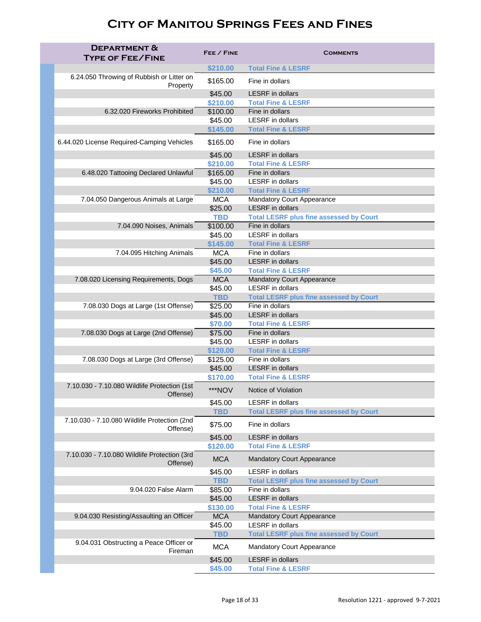| <b>DEPARTMENT &amp;</b><br><b>TYPE OF FEE/FINE</b>       | FEE / FINE          | <b>COMMENTS</b>                                  |
|----------------------------------------------------------|---------------------|--------------------------------------------------|
|                                                          | \$210.00            | <b>Total Fine &amp; LESRF</b>                    |
| 6.24.050 Throwing of Rubbish or Litter on<br>Property    | \$165.00            | Fine in dollars                                  |
|                                                          | \$45.00             | <b>LESRF</b> in dollars                          |
|                                                          | \$210.00            | <b>Total Fine &amp; LESRF</b>                    |
| 6.32.020 Fireworks Prohibited                            | \$100.00            | Fine in dollars                                  |
|                                                          | \$45.00             | <b>LESRF</b> in dollars                          |
|                                                          | \$145.00            | <b>Total Fine &amp; LESRF</b>                    |
| 6.44.020 License Required-Camping Vehicles               | \$165.00            | Fine in dollars                                  |
|                                                          | \$45.00             | <b>LESRF</b> in dollars                          |
|                                                          | \$210.00            | <b>Total Fine &amp; LESRF</b>                    |
| 6.48.020 Tattooing Declared Unlawful                     | \$165.00            | Fine in dollars<br><b>LESRF</b> in dollars       |
|                                                          | \$45.00<br>\$210.00 | <b>Total Fine &amp; LESRF</b>                    |
| 7.04.050 Dangerous Animals at Large                      | <b>MCA</b>          | <b>Mandatory Court Appearance</b>                |
|                                                          | \$25.00             | <b>LESRF</b> in dollars                          |
|                                                          | <b>TBD</b>          | <b>Total LESRF plus fine assessed by Court</b>   |
| 7.04.090 Noises, Animals                                 | \$100.00            | Fine in dollars                                  |
|                                                          | \$45.00             | <b>LESRF</b> in dollars                          |
|                                                          | \$145.00            | <b>Total Fine &amp; LESRF</b>                    |
| 7.04.095 Hitching Animals                                | <b>MCA</b>          | Fine in dollars                                  |
|                                                          | \$45.00             | <b>LESRF</b> in dollars                          |
|                                                          | \$45.00             | <b>Total Fine &amp; LESRF</b>                    |
| 7.08.020 Licensing Requirements, Dogs                    | <b>MCA</b>          | <b>Mandatory Court Appearance</b>                |
|                                                          | \$45.00             | <b>LESRF</b> in dollars                          |
|                                                          | <b>TBD</b>          | <b>Total LESRF plus fine assessed by Court</b>   |
| 7.08.030 Dogs at Large (1st Offense)                     | \$25.00             | Fine in dollars                                  |
|                                                          | \$45.00             | <b>LESRF</b> in dollars                          |
| 7.08.030 Dogs at Large (2nd Offense)                     | \$70.00<br>\$75.00  | <b>Total Fine &amp; LESRF</b><br>Fine in dollars |
|                                                          | \$45.00             | <b>LESRF</b> in dollars                          |
|                                                          | \$120.00            | <b>Total Fine &amp; LESRF</b>                    |
| 7.08.030 Dogs at Large (3rd Offense)                     | \$125.00            | Fine in dollars                                  |
|                                                          | \$45.00             | <b>LESRF</b> in dollars                          |
|                                                          | \$170.00            | <b>Total Fine &amp; LESRF</b>                    |
| 7.10.030 - 7.10.080 Wildlife Protection (1st<br>Offense) | ***NOV              | Notice of Violation                              |
|                                                          | \$45.00             | <b>LESRF</b> in dollars                          |
|                                                          | <b>TBD</b>          | <b>Total LESRF plus fine assessed by Court</b>   |
| 7.10.030 - 7.10.080 Wildlife Protection (2nd<br>Offense) | \$75.00             | Fine in dollars                                  |
|                                                          | \$45.00             | <b>LESRF</b> in dollars                          |
|                                                          | \$120.00            | <b>Total Fine &amp; LESRF</b>                    |
| 7.10.030 - 7.10.080 Wildlife Protection (3rd<br>Offense) | <b>MCA</b>          | <b>Mandatory Court Appearance</b>                |
|                                                          | \$45.00             | <b>LESRF</b> in dollars                          |
|                                                          | <b>TBD</b>          | <b>Total LESRF plus fine assessed by Court</b>   |
| 9.04.020 False Alarm                                     | \$85.00             | Fine in dollars<br><b>LESRF</b> in dollars       |
|                                                          | \$45.00<br>\$130.00 | <b>Total Fine &amp; LESRF</b>                    |
| 9.04.030 Resisting/Assaulting an Officer                 | <b>MCA</b>          | <b>Mandatory Court Appearance</b>                |
|                                                          | \$45.00             | <b>LESRF</b> in dollars                          |
|                                                          | <b>TBD</b>          | <b>Total LESRF plus fine assessed by Court</b>   |
| 9.04.031 Obstructing a Peace Officer or<br>Fireman       | <b>MCA</b>          | <b>Mandatory Court Appearance</b>                |
|                                                          | \$45.00             | <b>LESRF</b> in dollars                          |
|                                                          | \$45.00             | <b>Total Fine &amp; LESRF</b>                    |
|                                                          |                     |                                                  |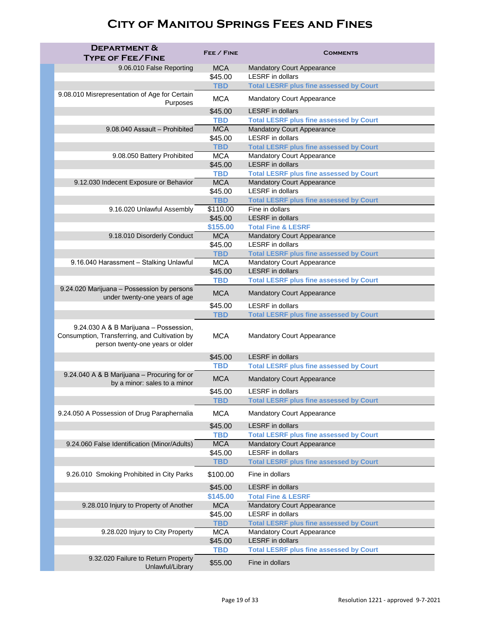| <b>DEPARTMENT &amp;</b><br><b>TYPE OF FEE/FINE</b>                                                                          | FEE / FINE               | <b>COMMENTS</b>                                                                     |
|-----------------------------------------------------------------------------------------------------------------------------|--------------------------|-------------------------------------------------------------------------------------|
| 9.06.010 False Reporting                                                                                                    | <b>MCA</b>               | <b>Mandatory Court Appearance</b>                                                   |
|                                                                                                                             | \$45.00                  | <b>LESRF</b> in dollars                                                             |
|                                                                                                                             | <b>TBD</b>               | <b>Total LESRF plus fine assessed by Court</b>                                      |
| 9.08.010 Misrepresentation of Age for Certain<br>Purposes                                                                   | <b>MCA</b>               | <b>Mandatory Court Appearance</b>                                                   |
|                                                                                                                             | \$45.00                  | <b>LESRF</b> in dollars                                                             |
| 9.08.040 Assault - Prohibited                                                                                               | <b>TBD</b><br><b>MCA</b> | <b>Total LESRF plus fine assessed by Court</b><br><b>Mandatory Court Appearance</b> |
|                                                                                                                             | \$45.00                  | <b>LESRF</b> in dollars                                                             |
|                                                                                                                             | <b>TBD</b>               | <b>Total LESRF plus fine assessed by Court</b>                                      |
| 9.08.050 Battery Prohibited                                                                                                 | <b>MCA</b>               | <b>Mandatory Court Appearance</b>                                                   |
|                                                                                                                             | \$45.00                  | <b>LESRF</b> in dollars                                                             |
|                                                                                                                             | <b>TBD</b>               | <b>Total LESRF plus fine assessed by Court</b>                                      |
| 9.12.030 Indecent Exposure or Behavior                                                                                      | <b>MCA</b>               | <b>Mandatory Court Appearance</b>                                                   |
|                                                                                                                             | \$45.00                  | <b>LESRF</b> in dollars                                                             |
|                                                                                                                             | <b>TBD</b>               | <b>Total LESRF plus fine assessed by Court</b>                                      |
| 9.16.020 Unlawful Assembly                                                                                                  | \$110.00<br>\$45.00      | Fine in dollars<br><b>LESRF</b> in dollars                                          |
|                                                                                                                             | \$155.00                 | <b>Total Fine &amp; LESRF</b>                                                       |
| 9.18.010 Disorderly Conduct                                                                                                 | <b>MCA</b>               | <b>Mandatory Court Appearance</b>                                                   |
|                                                                                                                             | \$45.00                  | <b>LESRF</b> in dollars                                                             |
|                                                                                                                             | <b>TBD</b>               | <b>Total LESRF plus fine assessed by Court</b>                                      |
| 9.16.040 Harassment - Stalking Unlawful                                                                                     | <b>MCA</b>               | <b>Mandatory Court Appearance</b>                                                   |
|                                                                                                                             | \$45.00                  | <b>LESRF</b> in dollars                                                             |
|                                                                                                                             | <b>TBD</b>               | <b>Total LESRF plus fine assessed by Court</b>                                      |
| 9.24.020 Marijuana - Possession by persons<br>under twenty-one years of age                                                 | <b>MCA</b>               | <b>Mandatory Court Appearance</b>                                                   |
|                                                                                                                             | \$45.00                  | <b>LESRF</b> in dollars                                                             |
|                                                                                                                             | <b>TBD</b>               | <b>Total LESRF plus fine assessed by Court</b>                                      |
| 9.24.030 A & B Marijuana - Possession,<br>Consumption, Transferring, and Cultivation by<br>person twenty-one years or older | <b>MCA</b>               | <b>Mandatory Court Appearance</b>                                                   |
|                                                                                                                             | \$45.00                  | <b>LESRF</b> in dollars                                                             |
|                                                                                                                             | <b>TBD</b>               | <b>Total LESRF plus fine assessed by Court</b>                                      |
| 9.24.040 A & B Marijuana - Procuring for or<br>by a minor: sales to a minor                                                 | <b>MCA</b>               | <b>Mandatory Court Appearance</b>                                                   |
|                                                                                                                             | \$45.00                  | <b>LESRF</b> in dollars                                                             |
|                                                                                                                             | <b>TBD</b>               | <b>Total LESRF plus fine assessed by Court</b>                                      |
| 9.24.050 A Possession of Drug Paraphernalia                                                                                 | <b>MCA</b>               | <b>Mandatory Court Appearance</b>                                                   |
|                                                                                                                             | \$45.00                  | <b>LESRF</b> in dollars                                                             |
|                                                                                                                             | <b>TBD</b>               | <b>Total LESRF plus fine assessed by Court</b>                                      |
| 9.24.060 False Identification (Minor/Adults)                                                                                | <b>MCA</b>               | <b>Mandatory Court Appearance</b><br><b>LESRF</b> in dollars                        |
|                                                                                                                             | \$45.00<br><b>TBD</b>    | <b>Total LESRF plus fine assessed by Court</b>                                      |
|                                                                                                                             |                          |                                                                                     |
| 9.26.010 Smoking Prohibited in City Parks                                                                                   | \$100.00<br>\$45.00      | Fine in dollars<br><b>LESRF</b> in dollars                                          |
|                                                                                                                             | \$145.00                 | <b>Total Fine &amp; LESRF</b>                                                       |
| 9.28.010 Injury to Property of Another                                                                                      | <b>MCA</b>               | <b>Mandatory Court Appearance</b>                                                   |
|                                                                                                                             | \$45.00                  | <b>LESRF</b> in dollars                                                             |
|                                                                                                                             | <b>TBD</b>               | <b>Total LESRF plus fine assessed by Court</b>                                      |
| 9.28.020 Injury to City Property                                                                                            | <b>MCA</b>               | <b>Mandatory Court Appearance</b>                                                   |
|                                                                                                                             | \$45.00                  | <b>LESRF</b> in dollars                                                             |
| 9.32.020 Failure to Return Property                                                                                         | <b>TBD</b>               | <b>Total LESRF plus fine assessed by Court</b>                                      |
| Unlawful/Library                                                                                                            | \$55.00                  | Fine in dollars                                                                     |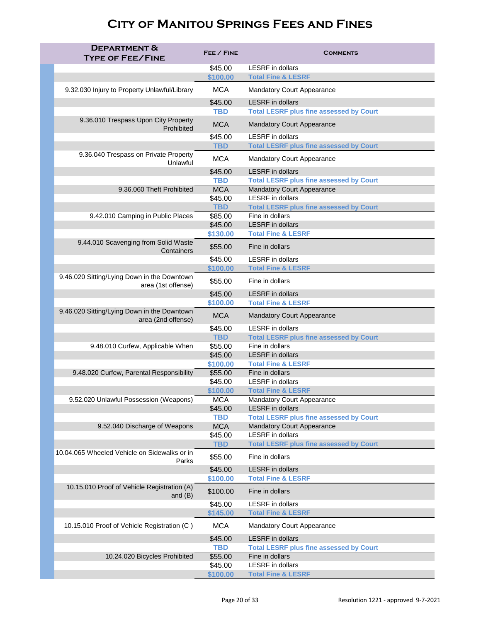| <b>DEPARTMENT &amp;</b><br><b>TYPE OF FEE/FINE</b>                | FEE / FINE            | <b>COMMENTS</b>                                                           |
|-------------------------------------------------------------------|-----------------------|---------------------------------------------------------------------------|
|                                                                   | \$45.00               | <b>LESRF</b> in dollars                                                   |
|                                                                   | \$100.00              | <b>Total Fine &amp; LESRF</b>                                             |
| 9.32.030 Injury to Property Unlawful/Library                      | <b>MCA</b>            | <b>Mandatory Court Appearance</b>                                         |
|                                                                   | \$45.00               | <b>LESRF</b> in dollars                                                   |
|                                                                   | <b>TBD</b>            | <b>Total LESRF plus fine assessed by Court</b>                            |
| 9.36.010 Trespass Upon City Property<br>Prohibited                | <b>MCA</b>            | <b>Mandatory Court Appearance</b>                                         |
|                                                                   | \$45.00               | <b>LESRF</b> in dollars                                                   |
|                                                                   | <b>TBD</b>            | <b>Total LESRF plus fine assessed by Court</b>                            |
| 9.36.040 Trespass on Private Property<br>Unlawful                 | <b>MCA</b>            | <b>Mandatory Court Appearance</b>                                         |
|                                                                   | \$45.00               | <b>LESRF</b> in dollars                                                   |
|                                                                   | <b>TBD</b>            | <b>Total LESRF plus fine assessed by Court</b>                            |
| 9.36.060 Theft Prohibited                                         | <b>MCA</b>            | <b>Mandatory Court Appearance</b><br><b>LESRF</b> in dollars              |
|                                                                   | \$45.00<br><b>TBD</b> | <b>Total LESRF plus fine assessed by Court</b>                            |
| 9.42.010 Camping in Public Places                                 | \$85.00               | Fine in dollars                                                           |
|                                                                   | \$45.00               | <b>LESRF</b> in dollars                                                   |
|                                                                   | \$130.00              | <b>Total Fine &amp; LESRF</b>                                             |
| 9.44.010 Scavenging from Solid Waste<br>Containers                | \$55.00               | Fine in dollars                                                           |
|                                                                   | \$45.00               | <b>LESRF</b> in dollars                                                   |
|                                                                   | \$100.00              | <b>Total Fine &amp; LESRF</b>                                             |
| 9.46.020 Sitting/Lying Down in the Downtown<br>area (1st offense) | \$55.00               | Fine in dollars                                                           |
|                                                                   | \$45.00               | <b>LESRF</b> in dollars                                                   |
|                                                                   | \$100.00              | <b>Total Fine &amp; LESRF</b>                                             |
| 9.46.020 Sitting/Lying Down in the Downtown<br>area (2nd offense) | <b>MCA</b>            | <b>Mandatory Court Appearance</b>                                         |
|                                                                   | \$45.00<br><b>TBD</b> | <b>LESRF</b> in dollars<br><b>Total LESRF plus fine assessed by Court</b> |
| 9.48.010 Curfew, Applicable When                                  | \$55.00               | Fine in dollars                                                           |
|                                                                   | \$45.00               | <b>LESRF</b> in dollars                                                   |
|                                                                   | \$100.00              | <b>Total Fine &amp; LESRF</b>                                             |
| 9.48.020 Curfew, Parental Responsibility                          | \$55.00<br>\$45.00    | Fine in dollars<br><b>LESRF</b> in dollars                                |
|                                                                   | \$100.00              | <b>Total Fine &amp; LESRF</b>                                             |
| 9.52.020 Unlawful Possession (Weapons)                            | <b>MCA</b>            | <b>Mandatory Court Appearance</b>                                         |
|                                                                   | \$45.00               | <b>LESRF</b> in dollars                                                   |
|                                                                   | <b>TBD</b>            | <b>Total LESRF plus fine assessed by Court</b>                            |
| 9.52.040 Discharge of Weapons                                     | <b>MCA</b><br>\$45.00 | <b>Mandatory Court Appearance</b><br><b>LESRF</b> in dollars              |
|                                                                   | <b>TBD</b>            | <b>Total LESRF plus fine assessed by Court</b>                            |
| 10.04.065 Wheeled Vehicle on Sidewalks or in<br>Parks             | \$55.00               | Fine in dollars                                                           |
|                                                                   | \$45.00               | <b>LESRF</b> in dollars                                                   |
|                                                                   | \$100.00              | <b>Total Fine &amp; LESRF</b>                                             |
| 10.15.010 Proof of Vehicle Registration (A)<br>and $(B)$          | \$100.00              | Fine in dollars                                                           |
|                                                                   | \$45.00               | <b>LESRF</b> in dollars                                                   |
|                                                                   | \$145.00              | <b>Total Fine &amp; LESRF</b>                                             |
| 10.15.010 Proof of Vehicle Registration (C)                       | <b>MCA</b>            | <b>Mandatory Court Appearance</b>                                         |
|                                                                   | \$45.00               | <b>LESRF</b> in dollars                                                   |
|                                                                   | <b>TBD</b>            | <b>Total LESRF plus fine assessed by Court</b>                            |
| 10.24.020 Bicycles Prohibited                                     | \$55.00               | Fine in dollars                                                           |
|                                                                   | \$45.00               | <b>LESRF</b> in dollars                                                   |
|                                                                   | \$100.00              | <b>Total Fine &amp; LESRF</b>                                             |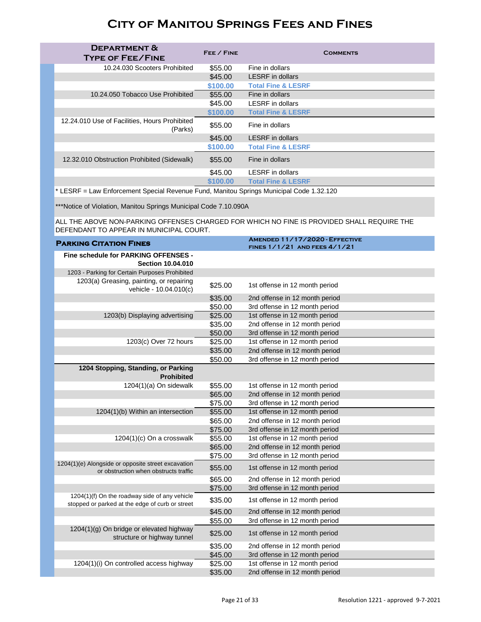| <b>DEPARTMENT &amp;</b><br><b>TYPE OF FEE/FINE</b>       | FEE / FINE | <b>COMMENTS</b>               |
|----------------------------------------------------------|------------|-------------------------------|
| 10.24.030 Scooters Prohibited                            | \$55.00    | Fine in dollars               |
|                                                          | \$45.00    | <b>LESRF</b> in dollars       |
|                                                          | \$100.00   | <b>Total Fine &amp; LESRF</b> |
| 10.24.050 Tobacco Use Prohibited                         | \$55.00    | Fine in dollars               |
|                                                          | \$45.00    | <b>LESRF</b> in dollars       |
|                                                          | \$100.00   | <b>Total Fine &amp; LESRF</b> |
| 12.24.010 Use of Facilities, Hours Prohibited<br>(Parks) | \$55.00    | Fine in dollars               |
|                                                          | \$45.00    | <b>LESRF</b> in dollars       |
|                                                          | \$100.00   | <b>Total Fine &amp; LESRF</b> |
| 12.32.010 Obstruction Prohibited (Sidewalk)              | \$55.00    | Fine in dollars               |
|                                                          | \$45.00    | <b>LESRF</b> in dollars       |
|                                                          | \$100.00   | <b>Total Fine &amp; LESRF</b> |

 $*$  LESRF = Law Enforcement Special Revenue Fund, Manitou Springs Municipal Code 1.32.120

\*\*\*Notice of Violation, Manitou Springs Municipal Code 7.10.090A

ALL THE ABOVE NON-PARKING OFFENSES CHARGED FOR WHICH NO FINE IS PROVIDED SHALL REQUIRE THE DEFENDANT TO APPEAR IN MUNICIPAL COURT.

| <b>PARKING CITATION FINES</b>                                                                    |         | AMENDED 11/17/2020 - EFFECTIVE |
|--------------------------------------------------------------------------------------------------|---------|--------------------------------|
|                                                                                                  |         | FINES 1/1/21 AND FEES 4/1/21   |
| Fine schedule for PARKING OFFENSES -                                                             |         |                                |
| <b>Section 10.04.010</b>                                                                         |         |                                |
| 1203 - Parking for Certain Purposes Prohibited                                                   |         |                                |
| 1203(a) Greasing, painting, or repairing<br>vehicle - 10.04.010(c)                               | \$25.00 | 1st offense in 12 month period |
|                                                                                                  | \$35.00 | 2nd offense in 12 month period |
|                                                                                                  | \$50.00 | 3rd offense in 12 month period |
| 1203(b) Displaying advertising                                                                   | \$25.00 | 1st offense in 12 month period |
|                                                                                                  | \$35.00 | 2nd offense in 12 month period |
|                                                                                                  | \$50.00 | 3rd offense in 12 month period |
| 1203(c) Over 72 hours                                                                            | \$25.00 | 1st offense in 12 month period |
|                                                                                                  | \$35.00 | 2nd offense in 12 month period |
|                                                                                                  | \$50.00 | 3rd offense in 12 month period |
| 1204 Stopping, Standing, or Parking                                                              |         |                                |
| <b>Prohibited</b>                                                                                |         |                                |
| 1204(1)(a) On sidewalk                                                                           | \$55.00 | 1st offense in 12 month period |
|                                                                                                  | \$65.00 | 2nd offense in 12 month period |
|                                                                                                  | \$75.00 | 3rd offense in 12 month period |
| 1204(1)(b) Within an intersection                                                                | \$55.00 | 1st offense in 12 month period |
|                                                                                                  | \$65.00 | 2nd offense in 12 month period |
|                                                                                                  | \$75.00 | 3rd offense in 12 month period |
| 1204(1)(c) On a crosswalk                                                                        | \$55.00 | 1st offense in 12 month period |
|                                                                                                  | \$65.00 | 2nd offense in 12 month period |
|                                                                                                  | \$75.00 | 3rd offense in 12 month period |
| 1204(1)(e) Alongside or opposite street excavation<br>or obstruction when obstructs traffic      | \$55.00 | 1st offense in 12 month period |
|                                                                                                  | \$65.00 | 2nd offense in 12 month period |
|                                                                                                  | \$75.00 | 3rd offense in 12 month period |
| 1204(1)(f) On the roadway side of any vehicle<br>stopped or parked at the edge of curb or street | \$35.00 | 1st offense in 12 month period |
|                                                                                                  | \$45.00 | 2nd offense in 12 month period |
|                                                                                                  | \$55.00 | 3rd offense in 12 month period |
| 1204(1)(g) On bridge or elevated highway<br>structure or highway tunnel                          | \$25.00 | 1st offense in 12 month period |
|                                                                                                  | \$35.00 | 2nd offense in 12 month period |
|                                                                                                  | \$45.00 | 3rd offense in 12 month period |
| 1204(1)(i) On controlled access highway                                                          | \$25.00 | 1st offense in 12 month period |
|                                                                                                  | \$35.00 | 2nd offense in 12 month period |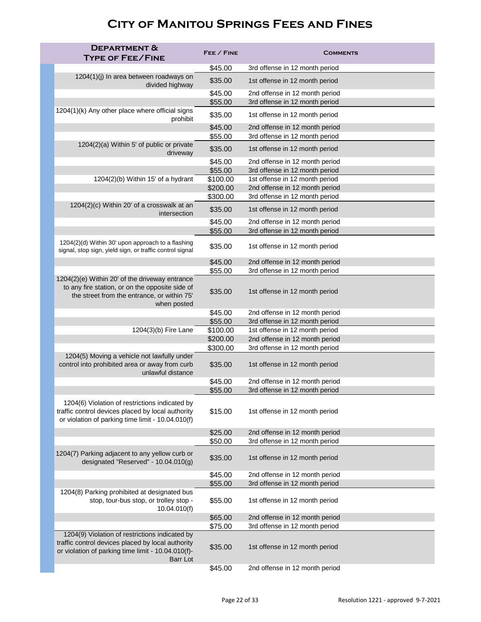| <b>DEPARTMENT &amp;</b>                                                                                                                                                      |                     |                                                                  |
|------------------------------------------------------------------------------------------------------------------------------------------------------------------------------|---------------------|------------------------------------------------------------------|
| <b>TYPE OF FEE/FINE</b>                                                                                                                                                      | FEE / FINE          | <b>COMMENTS</b>                                                  |
|                                                                                                                                                                              | \$45.00             | 3rd offense in 12 month period                                   |
| 1204(1)(j) In area between roadways on<br>divided highway                                                                                                                    | \$35.00             | 1st offense in 12 month period                                   |
|                                                                                                                                                                              | \$45.00             | 2nd offense in 12 month period                                   |
|                                                                                                                                                                              | \$55.00             | 3rd offense in 12 month period                                   |
| 1204(1)(k) Any other place where official signs<br>prohibit                                                                                                                  | \$35.00             | 1st offense in 12 month period                                   |
|                                                                                                                                                                              | \$45.00             | 2nd offense in 12 month period                                   |
|                                                                                                                                                                              | \$55.00             | 3rd offense in 12 month period                                   |
| 1204(2)(a) Within 5' of public or private<br>driveway                                                                                                                        | \$35.00             | 1st offense in 12 month period                                   |
|                                                                                                                                                                              | \$45.00             | 2nd offense in 12 month period                                   |
| 1204(2)(b) Within 15' of a hydrant                                                                                                                                           | \$55.00<br>\$100.00 | 3rd offense in 12 month period<br>1st offense in 12 month period |
|                                                                                                                                                                              | \$200.00            | 2nd offense in 12 month period                                   |
|                                                                                                                                                                              | \$300.00            | 3rd offense in 12 month period                                   |
| 1204(2)(c) Within 20' of a crosswalk at an                                                                                                                                   | \$35.00             | 1st offense in 12 month period                                   |
| intersection                                                                                                                                                                 |                     |                                                                  |
|                                                                                                                                                                              | \$45.00             | 2nd offense in 12 month period                                   |
|                                                                                                                                                                              | \$55.00             | 3rd offense in 12 month period                                   |
| 1204(2)(d) Within 30' upon approach to a flashing<br>signal, stop sign, yield sign, or traffic control signal                                                                | \$35.00             | 1st offense in 12 month period                                   |
|                                                                                                                                                                              | \$45.00             | 2nd offense in 12 month period                                   |
|                                                                                                                                                                              | \$55.00             | 3rd offense in 12 month period                                   |
| 1204(2)(e) Within 20' of the driveway entrance<br>to any fire station, or on the opposite side of<br>the street from the entrance, or within 75'<br>when posted              | \$35.00             | 1st offense in 12 month period                                   |
|                                                                                                                                                                              | \$45.00             | 2nd offense in 12 month period                                   |
|                                                                                                                                                                              | \$55.00             | 3rd offense in 12 month period                                   |
| 1204(3)(b) Fire Lane                                                                                                                                                         | \$100.00            | 1st offense in 12 month period                                   |
|                                                                                                                                                                              | \$200.00            | 2nd offense in 12 month period                                   |
|                                                                                                                                                                              | \$300.00            | 3rd offense in 12 month period                                   |
| 1204(5) Moving a vehicle not lawfully under<br>control into prohibited area or away from curb<br>unlawful distance                                                           | \$35.00             | 1st offense in 12 month period                                   |
|                                                                                                                                                                              | \$45.00             | 2nd offense in 12 month period                                   |
|                                                                                                                                                                              | \$55.00             | 3rd offense in 12 month period                                   |
| 1204(6) Violation of restrictions indicated by<br>traffic control devices placed by local authority<br>or violation of parking time limit - 10.04.010(f)                     | \$15.00             | 1st offense in 12 month period                                   |
|                                                                                                                                                                              | \$25.00             | 2nd offense in 12 month period                                   |
|                                                                                                                                                                              | \$50.00             | 3rd offense in 12 month period                                   |
| 1204(7) Parking adjacent to any yellow curb or<br>designated "Reserved" - $10.04.010(g)$                                                                                     | \$35.00             | 1st offense in 12 month period                                   |
|                                                                                                                                                                              | \$45.00             | 2nd offense in 12 month period                                   |
|                                                                                                                                                                              | \$55.00             | 3rd offense in 12 month period                                   |
| 1204(8) Parking prohibited at designated bus<br>stop, tour-bus stop, or trolley stop -<br>10.04.010(f)                                                                       | \$55.00             | 1st offense in 12 month period                                   |
|                                                                                                                                                                              | \$65.00             | 2nd offense in 12 month period                                   |
|                                                                                                                                                                              | \$75.00             | 3rd offense in 12 month period                                   |
| 1204(9) Violation of restrictions indicated by<br>traffic control devices placed by local authority<br>or violation of parking time limit - 10.04.010(f)-<br><b>Barr Lot</b> | \$35.00             | 1st offense in 12 month period                                   |
|                                                                                                                                                                              | \$45.00             | 2nd offense in 12 month period                                   |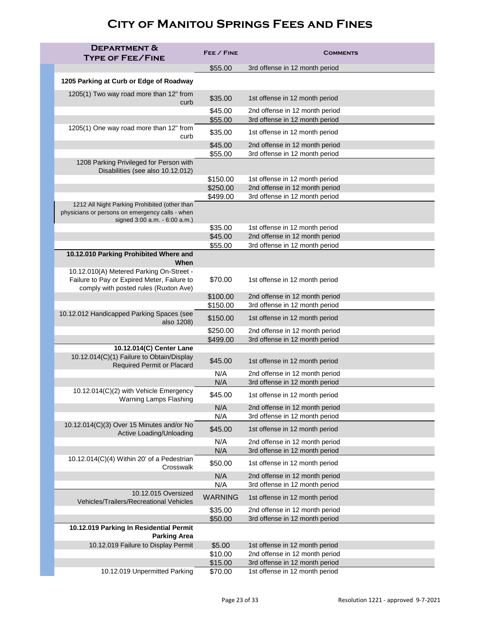| <b>DEPARTMENT &amp;</b><br><b>TYPE OF FEE/FINE</b>                                                                                | FEE / FINE           | <b>COMMENTS</b>                                                  |
|-----------------------------------------------------------------------------------------------------------------------------------|----------------------|------------------------------------------------------------------|
|                                                                                                                                   | \$55.00              | 3rd offense in 12 month period                                   |
| 1205 Parking at Curb or Edge of Roadway                                                                                           |                      |                                                                  |
| 1205(1) Two way road more than 12" from<br>curb                                                                                   | \$35.00              | 1st offense in 12 month period                                   |
|                                                                                                                                   | \$45.00              | 2nd offense in 12 month period                                   |
|                                                                                                                                   | \$55.00              | 3rd offense in 12 month period                                   |
| 1205(1) One way road more than 12" from<br>curb                                                                                   | \$35.00              | 1st offense in 12 month period                                   |
|                                                                                                                                   | \$45.00<br>\$55.00   | 2nd offense in 12 month period<br>3rd offense in 12 month period |
| 1208 Parking Privileged for Person with<br>Disabilities (see also 10.12.012)                                                      |                      |                                                                  |
|                                                                                                                                   | \$150.00             | 1st offense in 12 month period                                   |
|                                                                                                                                   | \$250.00<br>\$499.00 | 2nd offense in 12 month period<br>3rd offense in 12 month period |
| 1212 All Night Parking Prohibited (other than<br>physicians or persons on emergency calls - when<br>signed 3:00 a.m. - 6:00 a.m.) |                      |                                                                  |
|                                                                                                                                   | \$35.00              | 1st offense in 12 month period                                   |
|                                                                                                                                   | \$45.00              | 2nd offense in 12 month period                                   |
|                                                                                                                                   | \$55.00              | 3rd offense in 12 month period                                   |
| 10.12.010 Parking Prohibited Where and<br>When                                                                                    |                      |                                                                  |
| 10.12.010(A) Metered Parking On-Street -<br>Failure to Pay or Expired Meter, Failure to<br>comply with posted rules (Ruxton Ave)  | \$70.00              | 1st offense in 12 month period                                   |
|                                                                                                                                   | \$100.00             | 2nd offense in 12 month period                                   |
|                                                                                                                                   | \$150.00             | 3rd offense in 12 month period                                   |
| 10.12.012 Handicapped Parking Spaces (see<br>also 1208)                                                                           | \$150.00             | 1st offense in 12 month period                                   |
|                                                                                                                                   | \$250.00<br>\$499.00 | 2nd offense in 12 month period<br>3rd offense in 12 month period |
| 10.12.014(C) Center Lane                                                                                                          |                      |                                                                  |
| 10.12.014(C)(1) Failure to Obtain/Display<br><b>Required Permit or Placard</b>                                                    | \$45.00              | 1st offense in 12 month period                                   |
|                                                                                                                                   | N/A                  | 2nd offense in 12 month period                                   |
|                                                                                                                                   | N/A                  | 3rd offense in 12 month period                                   |
| 10.12.014(C)(2) with Vehicle Emergency<br><b>Warning Lamps Flashing</b>                                                           | \$45.00              | 1st offense in 12 month period                                   |
|                                                                                                                                   | N/A<br>N/A           | 2nd offense in 12 month period<br>3rd offense in 12 month period |
| 10.12.014(C)(3) Over 15 Minutes and/or No<br>Active Loading/Unloading                                                             | \$45.00              | 1st offense in 12 month period                                   |
|                                                                                                                                   | N/A<br>N/A           | 2nd offense in 12 month period<br>3rd offense in 12 month period |
| 10.12.014(C)(4) Within 20' of a Pedestrian                                                                                        | \$50.00              | 1st offense in 12 month period                                   |
| Crosswalk                                                                                                                         | N/A                  | 2nd offense in 12 month period                                   |
|                                                                                                                                   | N/A                  | 3rd offense in 12 month period                                   |
| 10.12.015 Oversized<br>Vehicles/Trailers/Recreational Vehicles                                                                    | <b>WARNING</b>       | 1st offense in 12 month period                                   |
|                                                                                                                                   | \$35.00              | 2nd offense in 12 month period                                   |
|                                                                                                                                   | \$50.00              | 3rd offense in 12 month period                                   |
| 10.12.019 Parking In Residential Permit<br><b>Parking Area</b>                                                                    |                      |                                                                  |
| 10.12.019 Failure to Display Permit                                                                                               | \$5.00               | 1st offense in 12 month period                                   |
|                                                                                                                                   | \$10.00              | 2nd offense in 12 month period                                   |
|                                                                                                                                   | \$15.00              | 3rd offense in 12 month period                                   |
| 10.12.019 Unpermitted Parking                                                                                                     | \$70.00              | 1st offense in 12 month period                                   |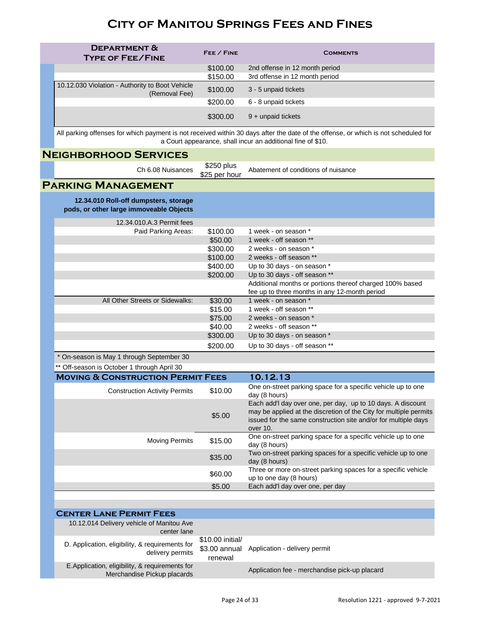| <b>DEPARTMENT &amp;</b><br><b>TYPE OF FEE/FINE</b>               | FEE / FINE | <b>COMMENTS</b>                |
|------------------------------------------------------------------|------------|--------------------------------|
|                                                                  | \$100.00   | 2nd offense in 12 month period |
|                                                                  | \$150.00   | 3rd offense in 12 month period |
| 10.12.030 Violation - Authority to Boot Vehicle<br>(Removal Fee) | \$100.00   | 3 - 5 unpaid tickets           |
|                                                                  | \$200.00   | 6 - 8 unpaid tickets           |
|                                                                  | \$300.00   | 9 + unpaid tickets             |

All parking offenses for which payment is not received within 30 days after the date of the offense, or which is not scheduled for a Court appearance, shall incur an additional fine of \$10.

#### **Neighborhood Services**

Ch 6.08 Nuisances \$250 plus

Abatement of conditions of nuisance

#### **Parking Management**

**12.34.010 Roll-off dumpsters, storage pods, or other large immoveable Objects** 

| 12.34.010.A.3 Permit fees       |          |                                                          |
|---------------------------------|----------|----------------------------------------------------------|
| Paid Parking Areas:             | \$100.00 | 1 week - on season *                                     |
|                                 | \$50.00  | 1 week - off season **                                   |
|                                 | \$300.00 | 2 weeks - on season *                                    |
|                                 | \$100.00 | 2 weeks - off season **                                  |
|                                 | \$400.00 | Up to 30 days - on season *                              |
|                                 | \$200.00 | Up to 30 days - off season **                            |
|                                 |          | Additional months or portions thereof charged 100% based |
|                                 |          | fee up to three months in any 12-month period            |
| All Other Streets or Sidewalks: | \$30.00  | 1 week - on season *                                     |
|                                 | \$15.00  | 1 week - off season **                                   |
|                                 | \$75.00  | 2 weeks - on season *                                    |
|                                 | \$40.00  | 2 weeks - off season **                                  |
|                                 | \$300.00 | Up to 30 days - on season *                              |
|                                 | \$200.00 | Up to 30 days - off season **                            |

\* On-season is May 1 through September 30

| ** Off-season is October 1 through April 30  |         |                                                                                                                                                                                                                |  |  |
|----------------------------------------------|---------|----------------------------------------------------------------------------------------------------------------------------------------------------------------------------------------------------------------|--|--|
| <b>MOVING &amp; CONSTRUCTION PERMIT FEES</b> |         | 10.12.13                                                                                                                                                                                                       |  |  |
| <b>Construction Activity Permits</b>         | \$10.00 | One on-street parking space for a specific vehicle up to one<br>day (8 hours)                                                                                                                                  |  |  |
|                                              | \$5.00  | Each add'l day over one, per day, up to 10 days. A discount<br>may be applied at the discretion of the City for multiple permits<br>issued for the same construction site and/or for multiple days<br>over 10. |  |  |
| <b>Moving Permits</b>                        | \$15.00 | One on-street parking space for a specific vehicle up to one<br>day (8 hours)                                                                                                                                  |  |  |
|                                              | \$35.00 | Two on-street parking spaces for a specific vehicle up to one<br>day (8 hours)                                                                                                                                 |  |  |
|                                              | \$60.00 | Three or more on-street parking spaces for a specific vehicle<br>up to one day (8 hours)                                                                                                                       |  |  |
|                                              | \$5.00  | Each add'I day over one, per day                                                                                                                                                                               |  |  |

| <b>CENTER LANE PERMIT FEES</b>                                                |                             |                                               |
|-------------------------------------------------------------------------------|-----------------------------|-----------------------------------------------|
| 10.12.014 Delivery vehicle of Manitou Ave<br>center lane                      |                             |                                               |
| D. Application, eligibility, & requirements for<br>delivery permits           | \$10,00 initial/<br>renewal | \$3.00 annual Application - delivery permit   |
| E.Application, eligibility, & requirements for<br>Merchandise Pickup placards |                             | Application fee - merchandise pick-up placard |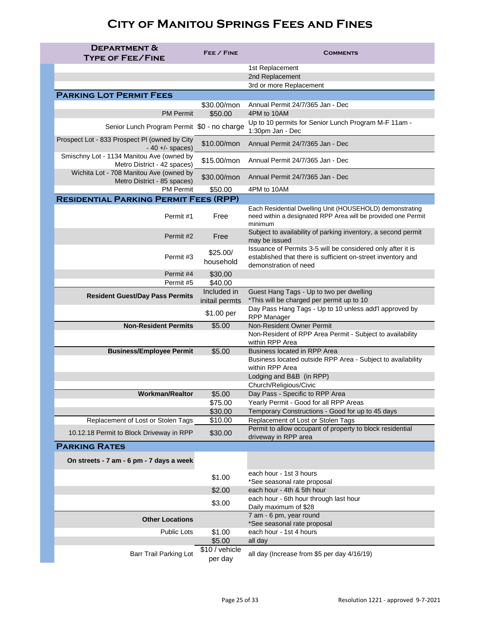| <b>DEPARTMENT &amp;</b><br><b>TYPE OF FEE/FINE</b>                       | FEE / FINE                | <b>COMMENTS</b>                                                                                                                                      |
|--------------------------------------------------------------------------|---------------------------|------------------------------------------------------------------------------------------------------------------------------------------------------|
|                                                                          |                           | 1st Replacement                                                                                                                                      |
|                                                                          |                           | 2nd Replacement                                                                                                                                      |
|                                                                          |                           | 3rd or more Replacement                                                                                                                              |
| <b>PARKING LOT PERMIT FEES</b>                                           |                           |                                                                                                                                                      |
|                                                                          | \$30.00/mon               | Annual Permit 24/7/365 Jan - Dec                                                                                                                     |
| <b>PM Permit</b>                                                         | \$50.00                   | 4PM to 10AM                                                                                                                                          |
| Senior Lunch Program Permit \$0 - no charge                              |                           | Up to 10 permits for Senior Lunch Program M-F 11am -<br>1:30pm Jan - Dec                                                                             |
| Prospect Lot - 833 Prospect PI (owned by City<br>$-40 + (-spaces)$       | \$10.00/mon               | Annual Permit 24/7/365 Jan - Dec                                                                                                                     |
| Smischny Lot - 1134 Manitou Ave (owned by<br>Metro District - 42 spaces) | $$15.00/m$ on             | Annual Permit 24/7/365 Jan - Dec                                                                                                                     |
| Wichita Lot - 708 Manitou Ave (owned by<br>Metro District - 85 spaces)   | \$30.00/mon               | Annual Permit 24/7/365 Jan - Dec                                                                                                                     |
| <b>PM Permit</b>                                                         | \$50.00                   | 4PM to 10AM                                                                                                                                          |
| <b>RESIDENTIAL PARKING PERMIT FEES (RPP)</b>                             |                           |                                                                                                                                                      |
| Permit #1                                                                | Free                      | Each Residential Dwelling Unit (HOUSEHOLD) demonstrating<br>need within a designated RPP Area will be provided one Permit<br>minimum                 |
| Permit #2                                                                | Free                      | Subject to availability of parking inventory, a second permit<br>may be issued                                                                       |
| Permit #3                                                                | \$25.00/<br>household     | Issuance of Permits 3-5 will be considered only after it is<br>established that there is sufficient on-street inventory and<br>demonstration of need |
| Permit #4                                                                | \$30.00                   |                                                                                                                                                      |
| Permit #5                                                                | \$40.00                   |                                                                                                                                                      |
| <b>Resident Guest/Day Pass Permits</b>                                   | Included in               | Guest Hang Tags - Up to two per dwelling<br>*This will be charged per permit up to 10                                                                |
|                                                                          | initail permts            | Day Pass Hang Tags - Up to 10 unless add'l approved by                                                                                               |
|                                                                          | \$1.00 per                | <b>RPP Manager</b>                                                                                                                                   |
| <b>Non-Resident Permits</b>                                              | \$5.00                    | <b>Non-Resident Owner Permit</b>                                                                                                                     |
|                                                                          |                           | Non-Resident of RPP Area Permit - Subject to availability<br>within RPP Area                                                                         |
| <b>Business/Employee Permit</b>                                          | \$5.00                    | <b>Business located in RPP Area</b>                                                                                                                  |
|                                                                          |                           | Business located outside RPP Area - Subject to availability<br>within RPP Area                                                                       |
|                                                                          |                           | Lodging and B&B (in RPP)                                                                                                                             |
| <b>Workman/Realtor</b>                                                   | \$5.00                    | Church/Religious/Civic<br>Day Pass - Specific to RPP Area                                                                                            |
|                                                                          | \$75.00                   | Yearly Permit - Good for all RPP Areas                                                                                                               |
|                                                                          | \$30.00                   | Temporary Constructions - Good for up to 45 days                                                                                                     |
| Replacement of Lost or Stolen Tags                                       | \$10.00                   | Replacement of Lost or Stolen Tags                                                                                                                   |
| 10.12.18 Permit to Block Driveway in RPP                                 | \$30.00                   | Permit to allow occupant of property to block residential<br>driveway in RPP area                                                                    |
| <b>PARKING RATES</b>                                                     |                           |                                                                                                                                                      |
| On streets - 7 am - 6 pm - 7 days a week                                 |                           |                                                                                                                                                      |
|                                                                          | \$1.00                    | each hour - 1st 3 hours<br>*See seasonal rate proposal                                                                                               |
|                                                                          | \$2.00                    | each hour - 4th & 5th hour                                                                                                                           |
|                                                                          | \$3.00                    | each hour - 6th hour through last hour<br>Daily maximum of \$28                                                                                      |
| <b>Other Locations</b>                                                   |                           | 7 am - 6 pm, year round<br>*See seasonal rate proposal                                                                                               |
| <b>Public Lots</b>                                                       | \$1.00                    | each hour - 1st 4 hours                                                                                                                              |
|                                                                          | \$5.00                    | all day                                                                                                                                              |
| <b>Barr Trail Parking Lot</b>                                            | \$10 / vehicle<br>per day | all day (Increase from \$5 per day 4/16/19)                                                                                                          |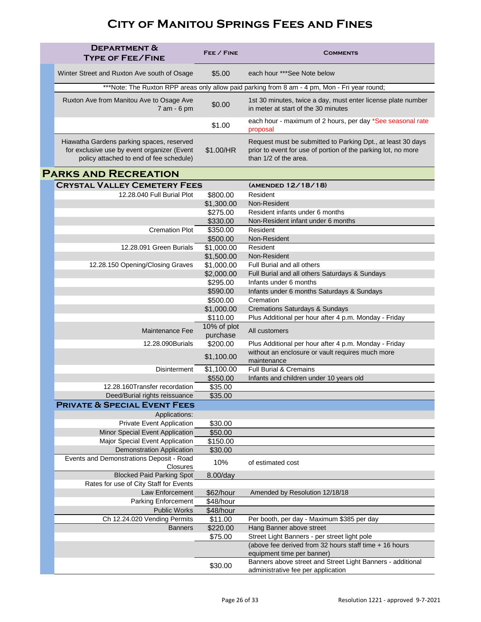| <b>DEPARTMENT &amp;</b><br><b>TYPE OF FEE/FINE</b>                                                                                  | FEE / FINE           | <b>COMMENTS</b>                                                                                                                                       |
|-------------------------------------------------------------------------------------------------------------------------------------|----------------------|-------------------------------------------------------------------------------------------------------------------------------------------------------|
| Winter Street and Ruxton Ave south of Osage                                                                                         | \$5.00               | each hour *** See Note below                                                                                                                          |
|                                                                                                                                     |                      | ***Note: The Ruxton RPP areas only allow paid parking from 8 am - 4 pm, Mon - Fri year round;                                                         |
| Ruxton Ave from Manitou Ave to Osage Ave<br>7 am - 6 pm                                                                             | \$0.00               | 1st 30 minutes, twice a day, must enter license plate number<br>in meter at start of the 30 minutes                                                   |
|                                                                                                                                     | \$1.00               | each hour - maximum of 2 hours, per day *See seasonal rate<br>proposal                                                                                |
| Hiawatha Gardens parking spaces, reserved<br>for exclusive use by event organizer (Event<br>policy attached to end of fee schedule) | \$1.00/HR            | Request must be submitted to Parking Dpt., at least 30 days<br>prior to event for use of portion of the parking lot, no more<br>than 1/2 of the area. |
| <b>PARKS AND RECREATION</b>                                                                                                         |                      |                                                                                                                                                       |
| <b>CRYSTAL VALLEY CEMETERY FEES</b>                                                                                                 |                      | (AMENDED 12/18/18)                                                                                                                                    |
| 12.28.040 Full Burial Plot                                                                                                          | \$800.00             | Resident                                                                                                                                              |
|                                                                                                                                     | \$1,300.00           | Non-Resident                                                                                                                                          |
|                                                                                                                                     | \$275.00             | Resident infants under 6 months                                                                                                                       |
|                                                                                                                                     | \$330.00             | Non-Resident infant under 6 months                                                                                                                    |
| <b>Cremation Plot</b>                                                                                                               | \$350.00             | Resident                                                                                                                                              |
|                                                                                                                                     | \$500.00             | Non-Resident                                                                                                                                          |
| 12.28.091 Green Burials                                                                                                             | \$1,000.00           | Resident                                                                                                                                              |
|                                                                                                                                     | \$1,500.00           | Non-Resident                                                                                                                                          |
| 12.28.150 Opening/Closing Graves                                                                                                    | \$1,000.00           | Full Burial and all others                                                                                                                            |
|                                                                                                                                     | \$2,000.00           | Full Burial and all others Saturdays & Sundays                                                                                                        |
|                                                                                                                                     | \$295.00             | Infants under 6 months                                                                                                                                |
|                                                                                                                                     | \$590.00<br>\$500.00 | Infants under 6 months Saturdays & Sundays<br>Cremation                                                                                               |
|                                                                                                                                     | \$1,000.00           | <b>Cremations Saturdays &amp; Sundays</b>                                                                                                             |
|                                                                                                                                     | \$110.00             | Plus Additional per hour after 4 p.m. Monday - Friday                                                                                                 |
|                                                                                                                                     | 10% of plot          |                                                                                                                                                       |
| Maintenance Fee                                                                                                                     | purchase             | All customers                                                                                                                                         |
| 12.28.090Burials                                                                                                                    | \$200.00             | Plus Additional per hour after 4 p.m. Monday - Friday                                                                                                 |
|                                                                                                                                     | \$1,100.00           | without an enclosure or vault requires much more<br>maintenance                                                                                       |
| <b>Disinterment</b>                                                                                                                 | \$1,100.00           | <b>Full Burial &amp; Cremains</b>                                                                                                                     |
|                                                                                                                                     | \$550.00             | Infants and children under 10 years old                                                                                                               |
| 12.28.160Transfer recordation                                                                                                       | \$35.00              |                                                                                                                                                       |
| Deed/Burial rights reissuance                                                                                                       | \$35.00              |                                                                                                                                                       |
| <b>PRIVATE &amp; SPECIAL EVENT FEES</b>                                                                                             |                      |                                                                                                                                                       |
| Applications:                                                                                                                       |                      |                                                                                                                                                       |
| <b>Private Event Application</b>                                                                                                    | \$30.00              |                                                                                                                                                       |
| Minor Special Event Application<br>Major Special Event Application                                                                  | \$50.00<br>\$150.00  |                                                                                                                                                       |
| <b>Demonstration Application</b>                                                                                                    | \$30.00              |                                                                                                                                                       |
| Events and Demonstrations Deposit - Road                                                                                            |                      |                                                                                                                                                       |
| <b>Closures</b>                                                                                                                     | 10%                  | of estimated cost                                                                                                                                     |
| <b>Blocked Paid Parking Spot</b>                                                                                                    | $8.00$ /day          |                                                                                                                                                       |
| Rates for use of City Staff for Events                                                                                              |                      |                                                                                                                                                       |
| Law Enforcement                                                                                                                     | \$62/hour            | Amended by Resolution 12/18/18                                                                                                                        |
| <b>Parking Enforcement</b>                                                                                                          | \$48/hour            |                                                                                                                                                       |
| <b>Public Works</b>                                                                                                                 | \$48/hour            |                                                                                                                                                       |
| Ch 12.24.020 Vending Permits                                                                                                        | \$11.00              | Per booth, per day - Maximum \$385 per day                                                                                                            |
| <b>Banners</b>                                                                                                                      | \$220.00             | Hang Banner above street                                                                                                                              |
|                                                                                                                                     | \$75.00              | Street Light Banners - per street light pole<br>(above fee derived from 32 hours staff time + 16 hours                                                |
|                                                                                                                                     |                      | equipment time per banner)                                                                                                                            |
|                                                                                                                                     | \$30.00              | Banners above street and Street Light Banners - additional<br>administrative fee per application                                                      |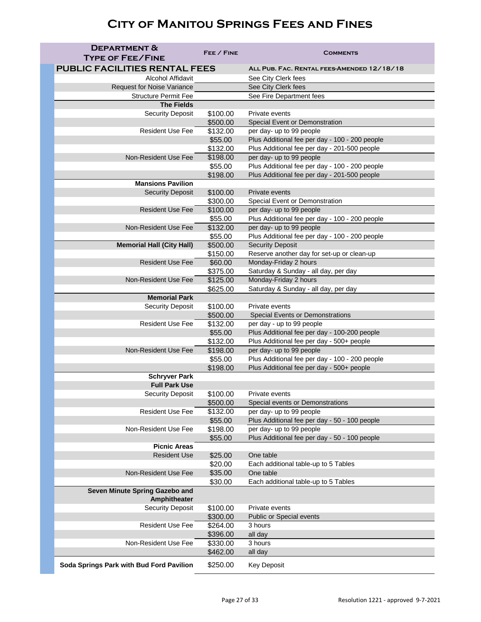| <b>DEPARTMENT &amp;</b><br><b>TYPE OF FEE/FINE</b> | FEE / FINE           | <b>COMMENTS</b>                                                       |
|----------------------------------------------------|----------------------|-----------------------------------------------------------------------|
| <b>PUBLIC FACILITIES RENTAL FEES</b>               |                      | ALL PUB. FAC. RENTAL FEES-AMENDED 12/18/18                            |
| <b>Alcohol Affidavit</b>                           |                      | See City Clerk fees                                                   |
| <b>Request for Noise Variance</b>                  |                      | See City Clerk fees                                                   |
| <b>Structure Permit Fee</b>                        |                      | See Fire Department fees                                              |
| <b>The Fields</b>                                  |                      |                                                                       |
| <b>Security Deposit</b>                            | \$100.00             | Private events                                                        |
|                                                    | \$500.00             | <b>Special Event or Demonstration</b>                                 |
| <b>Resident Use Fee</b>                            | \$132.00             | per day- up to 99 people                                              |
|                                                    | \$55.00              | Plus Additional fee per day - 100 - 200 people                        |
|                                                    | \$132.00             | Plus Additional fee per day - 201-500 people                          |
| <b>Non-Resident Use Fee</b>                        | \$198.00             | per day- up to 99 people                                              |
|                                                    | \$55.00              | Plus Additional fee per day - 100 - 200 people                        |
|                                                    | \$198.00             | Plus Additional fee per day - 201-500 people                          |
| <b>Mansions Pavilion</b>                           |                      |                                                                       |
| <b>Security Deposit</b>                            | \$100.00             | Private events                                                        |
|                                                    | \$300.00             | <b>Special Event or Demonstration</b>                                 |
| <b>Resident Use Fee</b>                            | \$100.00             | per day- up to 99 people                                              |
|                                                    | \$55.00              | Plus Additional fee per day - 100 - 200 people                        |
| <b>Non-Resident Use Fee</b>                        | \$132.00             | per day- up to 99 people                                              |
|                                                    | \$55.00              | Plus Additional fee per day - 100 - 200 people                        |
| <b>Memorial Hall (City Hall)</b>                   | \$500.00<br>\$150.00 | <b>Security Deposit</b><br>Reserve another day for set-up or clean-up |
| <b>Resident Use Fee</b>                            | \$60.00              | Monday-Friday 2 hours                                                 |
|                                                    | \$375.00             | Saturday & Sunday - all day, per day                                  |
| Non-Resident Use Fee                               | \$125.00             | Monday-Friday 2 hours                                                 |
|                                                    | \$625.00             | Saturday & Sunday - all day, per day                                  |
| <b>Memorial Park</b>                               |                      |                                                                       |
| <b>Security Deposit</b>                            | \$100.00             | Private events                                                        |
|                                                    | \$500.00             | <b>Special Events or Demonstrations</b>                               |
| <b>Resident Use Fee</b>                            | \$132.00             | per day - up to 99 people                                             |
|                                                    | \$55.00              | Plus Additional fee per day - 100-200 people                          |
|                                                    | \$132.00             | Plus Additional fee per day - 500+ people                             |
| <b>Non-Resident Use Fee</b>                        | \$198.00             | per day- up to 99 people                                              |
|                                                    | \$55.00              | Plus Additional fee per day - 100 - 200 people                        |
|                                                    | \$198.00             | Plus Additional fee per day - 500+ people                             |
| <b>Schryver Park</b>                               |                      |                                                                       |
| <b>Full Park Use</b>                               |                      |                                                                       |
| <b>Security Deposit</b>                            | \$100.00             | Private events                                                        |
| <b>Resident Use Fee</b>                            | \$500.00<br>\$132.00 | Special events or Demonstrations<br>per day- up to 99 people          |
|                                                    | \$55.00              | Plus Additional fee per day - 50 - 100 people                         |
| Non-Resident Use Fee                               | \$198.00             | per day- up to 99 people                                              |
|                                                    | \$55.00              | Plus Additional fee per day - 50 - 100 people                         |
| <b>Picnic Areas</b>                                |                      |                                                                       |
| <b>Resident Use</b>                                | \$25.00              | One table                                                             |
|                                                    | \$20.00              | Each additional table-up to 5 Tables                                  |
| <b>Non-Resident Use Fee</b>                        | \$35.00              | One table                                                             |
|                                                    | \$30.00              | Each additional table-up to 5 Tables                                  |
| Seven Minute Spring Gazebo and<br>Amphitheater     |                      |                                                                       |
| <b>Security Deposit</b>                            | \$100.00             | Private events                                                        |
|                                                    | \$300.00             | <b>Public or Special events</b>                                       |
| <b>Resident Use Fee</b>                            | \$264.00             | 3 hours                                                               |
|                                                    | \$396.00             | all day                                                               |
| <b>Non-Resident Use Fee</b>                        | \$330.00             | 3 hours                                                               |
|                                                    | \$462.00             | all day                                                               |
| Soda Springs Park with Bud Ford Pavilion           | \$250.00             | <b>Key Deposit</b>                                                    |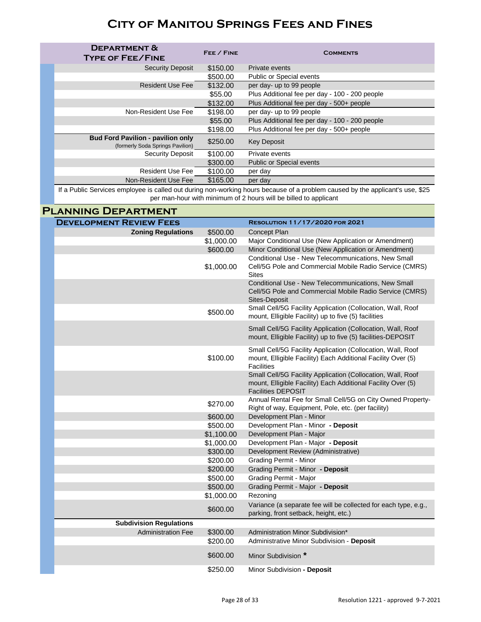| <b>DEPARTMENT &amp;</b><br><b>TYPE OF FEE/FINE</b>                           | FEE / FINE | <b>COMMENTS</b>                                |
|------------------------------------------------------------------------------|------------|------------------------------------------------|
| <b>Security Deposit</b>                                                      | \$150.00   | Private events                                 |
|                                                                              | \$500.00   | <b>Public or Special events</b>                |
| <b>Resident Use Fee</b>                                                      | \$132.00   | per day- up to 99 people                       |
|                                                                              | \$55.00    | Plus Additional fee per day - 100 - 200 people |
|                                                                              | \$132.00   | Plus Additional fee per day - 500+ people      |
| Non-Resident Use Fee                                                         | \$198.00   | per day- up to 99 people                       |
|                                                                              | \$55.00    | Plus Additional fee per day - 100 - 200 people |
|                                                                              | \$198.00   | Plus Additional fee per day - 500+ people      |
| <b>Bud Ford Pavilion - pavilion only</b><br>(formerly Soda Springs Pavilion) | \$250.00   | <b>Key Deposit</b>                             |
| <b>Security Deposit</b>                                                      | \$100.00   | Private events                                 |
|                                                                              | \$300.00   | <b>Public or Special events</b>                |
| <b>Resident Use Fee</b>                                                      | \$100.00   | per day                                        |
| Non-Resident Use Fee                                                         | \$165.00   | per day                                        |

If a Public Services employee is called out during non-working hours because of a problem caused by the applicant's use, \$25 per man-hour with minimum of 2 hours will be billed to applicant

#### **Planning Department**

| <b>DEVELOPMENT REVIEW FEES</b> |            | <b>RESOLUTION 11/17/2020 FOR 2021</b>                                                                                                                    |
|--------------------------------|------------|----------------------------------------------------------------------------------------------------------------------------------------------------------|
| <b>Zoning Regulations</b>      | \$500.00   | Concept Plan                                                                                                                                             |
|                                | \$1,000.00 | Major Conditional Use (New Application or Amendment)                                                                                                     |
|                                | \$600.00   | Minor Conditional Use (New Application or Amendment)                                                                                                     |
|                                |            | Conditional Use - New Telecommunications, New Small                                                                                                      |
|                                | \$1,000.00 | Cell/5G Pole and Commercial Mobile Radio Service (CMRS)<br><b>Sites</b>                                                                                  |
|                                |            | Conditional Use - New Telecommunications, New Small<br>Cell/5G Pole and Commercial Mobile Radio Service (CMRS)<br>Sites-Deposit                          |
|                                | \$500.00   | Small Cell/5G Facility Application (Collocation, Wall, Roof<br>mount, Elligible Facility) up to five (5) facilities                                      |
|                                |            | Small Cell/5G Facility Application (Collocation, Wall, Roof<br>mount, Elligible Facility) up to five (5) facilities-DEPOSIT                              |
|                                | \$100.00   | Small Cell/5G Facility Application (Collocation, Wall, Roof<br>mount, Elligible Facility) Each Additional Facility Over (5)<br><b>Facilities</b>         |
|                                |            | Small Cell/5G Facility Application (Collocation, Wall, Roof<br>mount, Elligible Facility) Each Additional Facility Over (5)<br><b>Facilities DEPOSIT</b> |
|                                | \$270.00   | Annual Rental Fee for Small Cell/5G on City Owned Property-<br>Right of way, Equipment, Pole, etc. (per facility)                                        |
|                                | \$600.00   | Development Plan - Minor                                                                                                                                 |
|                                | \$500.00   | Development Plan - Minor - Deposit                                                                                                                       |
|                                | \$1,100.00 | Development Plan - Major                                                                                                                                 |
|                                | \$1,000.00 | Development Plan - Major - Deposit                                                                                                                       |
|                                | \$300.00   | Development Review (Administrative)                                                                                                                      |
|                                | \$200.00   | <b>Grading Permit - Minor</b>                                                                                                                            |
|                                | \$200.00   | Grading Permit - Minor - Deposit                                                                                                                         |
|                                | \$500.00   | <b>Grading Permit - Major</b>                                                                                                                            |
|                                | \$500.00   | Grading Permit - Major - Deposit                                                                                                                         |
|                                | \$1,000.00 | Rezoning                                                                                                                                                 |
|                                | \$600.00   | Variance (a separate fee will be collected for each type, e.g.,<br>parking, front setback, height, etc.)                                                 |
| <b>Subdivision Regulations</b> |            |                                                                                                                                                          |
| <b>Administration Fee</b>      | \$300.00   | Administration Minor Subdivision*                                                                                                                        |
|                                | \$200.00   | Administrative Minor Subdivision - Deposit                                                                                                               |
|                                | \$600.00   | Minor Subdivision *                                                                                                                                      |
|                                | \$250.00   | Minor Subdivision - Deposit                                                                                                                              |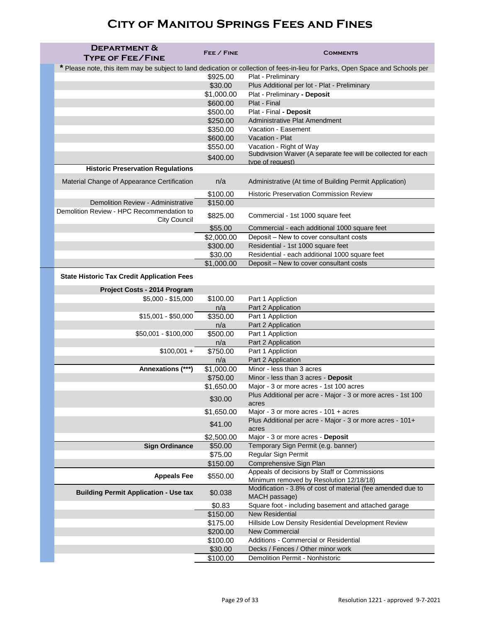| <b>DEPARTMENT &amp;</b><br><b>TYPE OF FEE/FINE</b>               | FEE / FINE      | <b>COMMENTS</b>                                                                                                                |
|------------------------------------------------------------------|-----------------|--------------------------------------------------------------------------------------------------------------------------------|
|                                                                  |                 | * Please note, this item may be subject to land dedication or collection of fees-in-lieu for Parks, Open Space and Schools per |
|                                                                  | \$925.00        | Plat - Preliminary                                                                                                             |
|                                                                  | \$30.00         | Plus Additional per lot - Plat - Preliminary                                                                                   |
|                                                                  | \$1,000.00      | Plat - Preliminary - Deposit                                                                                                   |
|                                                                  | \$600.00        | Plat - Final                                                                                                                   |
|                                                                  | \$500.00        | Plat - Final - Deposit                                                                                                         |
|                                                                  | \$250.00        | <b>Administrative Plat Amendment</b><br>Vacation - Easement                                                                    |
|                                                                  | \$350.00        | Vacation - Plat                                                                                                                |
|                                                                  | \$600.00        |                                                                                                                                |
|                                                                  | \$550.00        | Vacation - Right of Way<br>Subdivision Waiver (A separate fee will be collected for each                                       |
|                                                                  | \$400.00        | type of request)                                                                                                               |
| <b>Historic Preservation Regulations</b>                         |                 |                                                                                                                                |
| Material Change of Appearance Certification                      | n/a             | Administrative (At time of Building Permit Application)                                                                        |
|                                                                  | \$100.00        | <b>Historic Preservation Commission Review</b>                                                                                 |
| <b>Demolition Review - Administrative</b>                        | \$150.00        |                                                                                                                                |
| Demolition Review - HPC Recommendation to<br><b>City Council</b> | \$825.00        | Commercial - 1st 1000 square feet                                                                                              |
|                                                                  | \$55.00         | Commercial - each additional 1000 square feet                                                                                  |
|                                                                  | \$2,000.00      | Deposit - New to cover consultant costs                                                                                        |
|                                                                  | \$300.00        | Residential - 1st 1000 square feet                                                                                             |
|                                                                  | \$30.00         | Residential - each additional 1000 square feet                                                                                 |
|                                                                  | \$1,000.00      | Deposit - New to cover consultant costs                                                                                        |
| <b>State Historic Tax Credit Application Fees</b>                |                 |                                                                                                                                |
| Project Costs - 2014 Program                                     |                 |                                                                                                                                |
| $$5,000 - $15,000$                                               | \$100.00        | Part 1 Appliction                                                                                                              |
|                                                                  | n/a             | Part 2 Application                                                                                                             |
| $$15,001 - $50,000$                                              | \$350.00        | Part 1 Appliction                                                                                                              |
|                                                                  | n/a             | Part 2 Application                                                                                                             |
| \$50,001 - \$100,000                                             | \$500.00<br>n/a | Part 1 Appliction<br>Part 2 Application                                                                                        |
| $$100,001 +$                                                     | \$750.00        | Part 1 Appliction                                                                                                              |
|                                                                  | n/a             | Part 2 Application                                                                                                             |
| Annexations (***)                                                | \$1,000.00      | Minor - less than 3 acres                                                                                                      |
|                                                                  | \$750.00        | Minor - less than 3 acres - Deposit                                                                                            |
|                                                                  | \$1,650.00      | Major - 3 or more acres - 1st 100 acres                                                                                        |
|                                                                  |                 | Plus Additional per acre - Major - 3 or more acres - 1st 100                                                                   |
|                                                                  | \$30.00         | acres                                                                                                                          |
|                                                                  | \$1,650.00      | Major - 3 or more acres - 101 + acres                                                                                          |
|                                                                  | \$41.00         | Plus Additional per acre - Major - 3 or more acres - 101+<br>acres                                                             |
|                                                                  | \$2,500.00      | Major - 3 or more acres - Deposit                                                                                              |
| <b>Sign Ordinance</b>                                            | \$50.00         | Temporary Sign Permit (e.g. banner)                                                                                            |
|                                                                  | \$75.00         | Regular Sign Permit                                                                                                            |
|                                                                  | \$150.00        | Comprehensive Sign Plan                                                                                                        |
| <b>Appeals Fee</b>                                               | \$550.00        | Appeals of decisions by Staff or Commissions<br>Minimum removed by Resolution 12/18/18)                                        |
| <b>Building Permit Application - Use tax</b>                     | \$0.038         | Modification - 3.8% of cost of material (fee amended due to<br>MACH passage)                                                   |
|                                                                  | \$0.83          | Square foot - including basement and attached garage                                                                           |
|                                                                  | \$150.00        | <b>New Residential</b>                                                                                                         |
|                                                                  | \$175.00        | Hillside Low Density Residential Development Review                                                                            |
|                                                                  | \$200.00        | <b>New Commercial</b>                                                                                                          |
|                                                                  | \$100.00        | Additions - Commercial or Residential                                                                                          |
|                                                                  | \$30.00         | Decks / Fences / Other minor work                                                                                              |
|                                                                  | \$100.00        | <b>Demolition Permit - Nonhistoric</b>                                                                                         |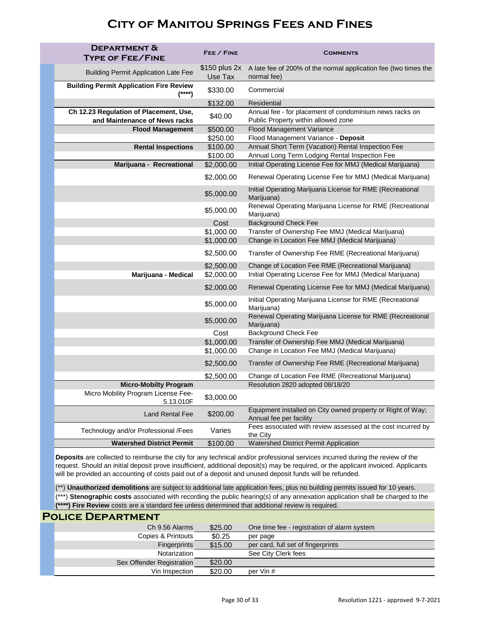| <b>DEPARTMENT &amp;</b><br><b>TYPE OF FEE/FINE</b>                      | FEE / FINE                | COMMENTS                                                                                       |
|-------------------------------------------------------------------------|---------------------------|------------------------------------------------------------------------------------------------|
| <b>Building Permit Application Late Fee</b>                             | $$150$ plus 2x<br>Use Tax | A late fee of 200% of the normal application fee (two times the<br>normal fee)                 |
| <b>Building Permit Application Fire Review</b><br>(****)                | \$330.00                  | Commercial                                                                                     |
|                                                                         | \$132.00                  | <b>Residential</b>                                                                             |
| Ch 12.23 Regulation of Placement, Use,<br>and Maintenance of News racks | \$40.00                   | Annual fee - for placement of condominium news racks on<br>Public Property within allowed zone |
| <b>Flood Management</b>                                                 | \$500.00                  | <b>Flood Management Variance</b>                                                               |
|                                                                         | \$250.00                  | Flood Management Variance - Deposit                                                            |
| <b>Rental Inspections</b>                                               | \$100.00                  | Annual Short Term (Vacation) Rental Inspection Fee                                             |
|                                                                         | \$100.00                  | Annual Long Term Lodging Rental Inspection Fee                                                 |
| Marijuana - Recreational                                                | \$2,000.00                | Initial Operating License Fee for MMJ (Medical Marijuana)                                      |
|                                                                         | \$2,000.00                | Renewal Operating License Fee for MMJ (Medical Marijuana)                                      |
|                                                                         | \$5,000.00                | Initial Operating Marijuana License for RME (Recreational<br>Marijuana)                        |
|                                                                         | \$5,000.00                | Renewal Operating Marijuana License for RME (Recreational<br>Marijuana)                        |
|                                                                         | Cost                      | <b>Background Check Fee</b>                                                                    |
|                                                                         | \$1,000.00                | Transfer of Ownership Fee MMJ (Medical Marijuana)                                              |
|                                                                         | \$1,000.00                | Change in Location Fee MMJ (Medical Marijuana)                                                 |
|                                                                         | \$2,500.00                | Transfer of Ownership Fee RME (Recreational Marijuana)                                         |
|                                                                         | \$2,500.00                | Change of Location Fee RME (Recreational Marijuana)                                            |
| Marijuana - Medical                                                     | \$2,000.00                | Initial Operating License Fee for MMJ (Medical Marijuana)                                      |
|                                                                         | \$2,000.00                | Renewal Operating License Fee for MMJ (Medical Marijuana)                                      |
|                                                                         | \$5,000.00                | Initial Operating Marijuana License for RME (Recreational<br>Marijuana)                        |
|                                                                         | \$5,000.00                | Renewal Operating Marijuana License for RME (Recreational<br>Marijuana)                        |
|                                                                         | Cost                      | <b>Background Check Fee</b>                                                                    |
|                                                                         | \$1,000.00                | Transfer of Ownership Fee MMJ (Medical Marijuana)                                              |
|                                                                         | \$1,000.00                | Change in Location Fee MMJ (Medical Marijuana)                                                 |
|                                                                         | \$2,500.00                | Transfer of Ownership Fee RME (Recreational Marijuana)                                         |
|                                                                         | \$2,500.00                | Change of Location Fee RME (Recreational Marijuana)                                            |
| <b>Micro-Mobilty Program</b>                                            |                           | Resolution 2820 adopted 08/18/20                                                               |
| Micro Mobility Program License Fee-<br>5.13.010F                        | \$3,000.00                |                                                                                                |
| <b>Land Rental Fee</b>                                                  | \$200.00                  | Equipment installed on City owned property or Right of Way;<br>Annual fee per facility         |
| Technology and/or Professional /Fees                                    | Varies                    | Fees associated with review assessed at the cost incurred by<br>the City                       |
| <b>Watershed District Permit</b>                                        | \$100.00                  | <b>Watershed District Permit Application</b>                                                   |

**Deposits** are collected to reimburse the city for any technical and/or professional services incurred during the review of the request. Should an initial deposit prove insufficient, additional deposit(s) may be required, or the applicant invoiced. Applicants will be provided an accounting of costs paid out of a deposit and unused deposit funds will be refunded.

(\*\*\*) **Stenographic costs** associated with recording the public hearing(s) of any annexation application shall be charged to the **(\*\*\*\*) Fire Review** costs are a standard fee unless determined that additional review is required. (\*\*) **Unauthorized demolitions** are subject to additional late application fees, plus no building permits issued for 10 years.

#### **Police Department**

| Ch 9.56 Alarms            | \$25.00 | One time fee - registration of alarm system |  |  |
|---------------------------|---------|---------------------------------------------|--|--|
| Copies & Printouts        | \$0.25  | per page                                    |  |  |
| Fingerprints              | \$15.00 | per card, full set of fingerprints          |  |  |
| Notarization              |         | See City Clerk fees                         |  |  |
| Sex Offender Registration | \$20.00 |                                             |  |  |
| Vin Inspection            | \$20.00 | per Vin #                                   |  |  |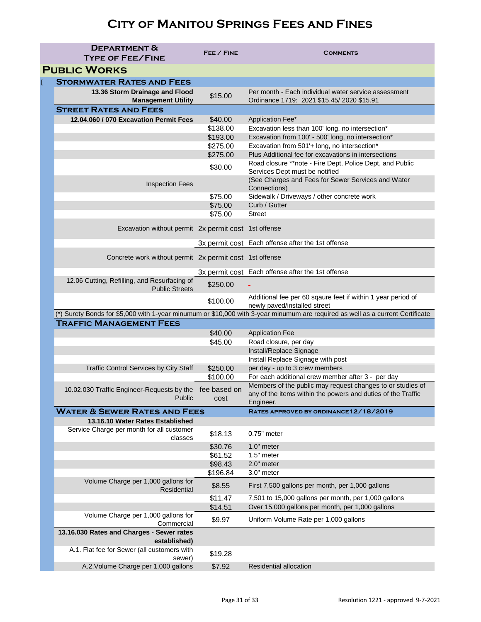| <b>DEPARTMENT &amp;</b>                                               | FEE / FINE           | <b>COMMENTS</b>                                                                                                                |
|-----------------------------------------------------------------------|----------------------|--------------------------------------------------------------------------------------------------------------------------------|
| <b>TYPE OF FEE/FINE</b>                                               |                      |                                                                                                                                |
| <b>PUBLIC WORKS</b>                                                   |                      |                                                                                                                                |
| <b>STORMWATER RATES AND FEES</b>                                      |                      |                                                                                                                                |
| 13.36 Storm Drainage and Flood<br><b>Management Utility</b>           | \$15.00              | Per month - Each individual water service assessment<br>Ordinance 1719: 2021 \$15.45/2020 \$15.91                              |
| <b>STREET RATES AND FEES</b>                                          |                      |                                                                                                                                |
| 12.04.060 / 070 Excavation Permit Fees                                | \$40.00              | Application Fee*                                                                                                               |
|                                                                       | \$138.00             | Excavation less than 100' long, no intersection*                                                                               |
|                                                                       | \$193.00             | Excavation from 100' - 500' long, no intersection*                                                                             |
|                                                                       | \$275.00             | Excavation from 501'+ long, no intersection*                                                                                   |
|                                                                       | \$275.00             | Plus Additional fee for excavations in intersections                                                                           |
|                                                                       | \$30.00              | Road closure **note - Fire Dept, Police Dept, and Public<br>Services Dept must be notified                                     |
| <b>Inspection Fees</b>                                                |                      | (See Charges and Fees for Sewer Services and Water<br>Connections)                                                             |
|                                                                       | \$75.00              | Sidewalk / Driveways / other concrete work                                                                                     |
|                                                                       | \$75.00              | Curb / Gutter                                                                                                                  |
|                                                                       | \$75.00              | <b>Street</b>                                                                                                                  |
| Excavation without permit 2x permit cost 1st offense                  |                      |                                                                                                                                |
|                                                                       |                      | 3x permit cost Each offense after the 1st offense                                                                              |
| Concrete work without permit 2x permit cost 1st offense               |                      |                                                                                                                                |
|                                                                       |                      | 3x permit cost Each offense after the 1st offense                                                                              |
| 12.06 Cutting, Refilling, and Resurfacing of<br><b>Public Streets</b> | \$250.00             |                                                                                                                                |
|                                                                       | \$100.00             | Additional fee per 60 sqaure feet if within 1 year period of<br>newly paved/installed street                                   |
|                                                                       |                      | (*) Surety Bonds for \$5,000 with 1-year minumum or \$10,000 with 3-year minumum are required as well as a current Certificate |
| <b>TRAFFIC MANAGEMENT FEES</b>                                        |                      |                                                                                                                                |
|                                                                       | \$40.00              | <b>Application Fee</b>                                                                                                         |
|                                                                       | \$45.00              | Road closure, per day                                                                                                          |
|                                                                       |                      | Install/Replace Signage                                                                                                        |
|                                                                       |                      | Install Replace Signage with post                                                                                              |
| <b>Traffic Control Services by City Staff</b>                         | \$250.00<br>\$100.00 | per day - up to 3 crew members<br>For each additional crew member after 3 - per day                                            |
|                                                                       |                      | Members of the public may request changes to or studies of                                                                     |
| 10.02.030 Traffic Engineer-Requests by the                            | fee based on         | any of the items within the powers and duties of the Traffic                                                                   |
| Public                                                                | cost                 | Engineer.                                                                                                                      |
| <b>WATER &amp; SEWER RATES AND FEES</b>                               |                      | RATES APPROVED BY ORDINANCE 12/18/2019                                                                                         |
| 13.16.10 Water Rates Established                                      |                      |                                                                                                                                |
| Service Charge per month for all customer<br>classes                  | \$18.13              | $0.75"$ meter                                                                                                                  |
|                                                                       | \$30.76              | 1.0" meter                                                                                                                     |
|                                                                       | \$61.52              | 1.5" meter                                                                                                                     |
|                                                                       | \$98.43              | 2.0" meter                                                                                                                     |
|                                                                       | \$196.84             | 3.0" meter                                                                                                                     |
| Volume Charge per 1,000 gallons for<br><b>Residential</b>             | \$8.55               | First 7,500 gallons per month, per 1,000 gallons                                                                               |
|                                                                       | \$11.47              | 7,501 to 15,000 gallons per month, per 1,000 gallons                                                                           |
| Volume Charge per 1,000 gallons for                                   | \$14.51              | Over 15,000 gallons per month, per 1,000 gallons                                                                               |
| Commercial<br>13.16.030 Rates and Charges - Sewer rates               | \$9.97               | Uniform Volume Rate per 1,000 gallons                                                                                          |
| established)                                                          |                      |                                                                                                                                |
| A.1. Flat fee for Sewer (all customers with                           |                      |                                                                                                                                |
| sewer)                                                                | \$19.28              |                                                                                                                                |
| A.2. Volume Charge per 1,000 gallons                                  | \$7.92               | <b>Residential allocation</b>                                                                                                  |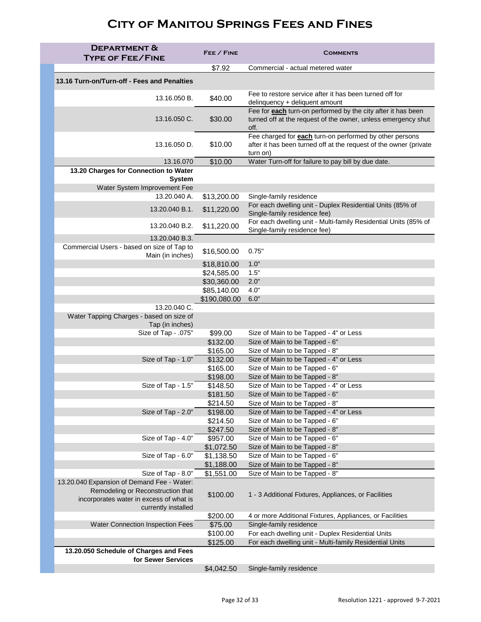| <b>DEPARTMENT &amp;</b><br><b>TYPE OF FEE/FINE</b>                                                  | FEE / FINE               | <b>COMMENTS</b>                                                                                                                                 |
|-----------------------------------------------------------------------------------------------------|--------------------------|-------------------------------------------------------------------------------------------------------------------------------------------------|
|                                                                                                     | \$7.92                   | Commercial - actual metered water                                                                                                               |
| 13.16 Turn-on/Turn-off - Fees and Penalties                                                         |                          |                                                                                                                                                 |
| 13.16.050 B.                                                                                        | \$40.00                  | Fee to restore service after it has been turned off for<br>delinquency + deliquent amount                                                       |
| 13.16.050 C.                                                                                        | \$30.00                  | Fee for each turn-on performed by the city after it has been<br>turned off at the request of the owner, unless emergency shut<br>off.           |
| 13.16.050 D.                                                                                        | \$10.00                  | Fee charged for <b>each</b> turn-on performed by other persons<br>after it has been turned off at the request of the owner (private<br>turn on) |
| 13.16.070                                                                                           | \$10.00                  | Water Turn-off for failure to pay bill by due date.                                                                                             |
| 13.20 Charges for Connection to Water                                                               |                          |                                                                                                                                                 |
| <b>System</b><br>Water System Improvement Fee                                                       |                          |                                                                                                                                                 |
| 13.20.040 A.                                                                                        | \$13,200.00              | Single-family residence                                                                                                                         |
| 13.20.040 B.1.                                                                                      | \$11,220.00              | For each dwelling unit - Duplex Residential Units (85% of<br>Single-family residence fee)                                                       |
| 13.20.040 B.2.                                                                                      | \$11,220.00              | For each dwelling unit - Multi-family Residential Units (85% of<br>Single-family residence fee)                                                 |
| 13.20.040 B.3.                                                                                      |                          |                                                                                                                                                 |
| Commercial Users - based on size of Tap to<br>Main (in inches)                                      | \$16,500.00              | 0.75"                                                                                                                                           |
|                                                                                                     | \$18,810.00              | 1.0"                                                                                                                                            |
|                                                                                                     | \$24,585.00              | 1.5"                                                                                                                                            |
|                                                                                                     | \$30,360.00              | 2.0"                                                                                                                                            |
|                                                                                                     | \$85,140.00              | 4.0"                                                                                                                                            |
|                                                                                                     | \$190,080.00             | 6.0"                                                                                                                                            |
| 13.20.040 C.<br>Water Tapping Charges - based on size of                                            |                          |                                                                                                                                                 |
| Tap (in inches)                                                                                     |                          |                                                                                                                                                 |
| Size of Tap - .075"                                                                                 | \$99.00                  | Size of Main to be Tapped - 4" or Less                                                                                                          |
|                                                                                                     | \$132.00<br>\$165.00     | Size of Main to be Tapped - 6"<br>Size of Main to be Tapped - 8"                                                                                |
| Size of Tap - 1.0"                                                                                  | \$132.00                 | Size of Main to be Tapped - 4" or Less                                                                                                          |
|                                                                                                     | \$165.00                 | Size of Main to be Tapped - 6"                                                                                                                  |
|                                                                                                     | \$198.00                 | Size of Main to be Tapped - 8"                                                                                                                  |
| Size of Tap - 1.5"                                                                                  | \$148.50                 | Size of Main to be Tapped - 4" or Less                                                                                                          |
|                                                                                                     | \$181.50                 | Size of Main to be Tapped - 6"                                                                                                                  |
|                                                                                                     | \$214.50                 | Size of Main to be Tapped - 8"                                                                                                                  |
| Size of Tap - 2.0"                                                                                  | \$198.00                 | Size of Main to be Tapped - 4" or Less                                                                                                          |
|                                                                                                     | \$214.50                 | Size of Main to be Tapped - 6"                                                                                                                  |
|                                                                                                     | \$247.50                 | Size of Main to be Tapped - 8"                                                                                                                  |
| Size of Tap - 4.0"                                                                                  | \$957.00                 | Size of Main to be Tapped - 6"                                                                                                                  |
|                                                                                                     | \$1,072.50               | Size of Main to be Tapped - 8"                                                                                                                  |
| Size of Tap - 6.0"                                                                                  | \$1,138.50<br>\$1,188.00 | Size of Main to be Tapped - 6"<br>Size of Main to be Tapped - 8"                                                                                |
| Size of Tap - 8.0"                                                                                  | \$1,551.00               | Size of Main to be Tapped - 8"                                                                                                                  |
| 13.20.040 Expansion of Demand Fee - Water:                                                          |                          |                                                                                                                                                 |
| Remodeling or Reconstruction that<br>incorporates water in excess of what is<br>currently installed | \$100.00                 | 1 - 3 Additional Fixtures, Appliances, or Facilities                                                                                            |
|                                                                                                     | \$200.00                 | 4 or more Additional Fixtures, Appliances, or Facilities                                                                                        |
| <b>Water Connection Inspection Fees</b>                                                             | \$75.00                  | Single-family residence                                                                                                                         |
|                                                                                                     | \$100.00                 | For each dwelling unit - Duplex Residential Units                                                                                               |
| 13.20.050 Schedule of Charges and Fees                                                              | \$125.00                 | For each dwelling unit - Multi-family Residential Units                                                                                         |
| for Sewer Services                                                                                  |                          |                                                                                                                                                 |
|                                                                                                     | \$4,042.50               | Single-family residence                                                                                                                         |